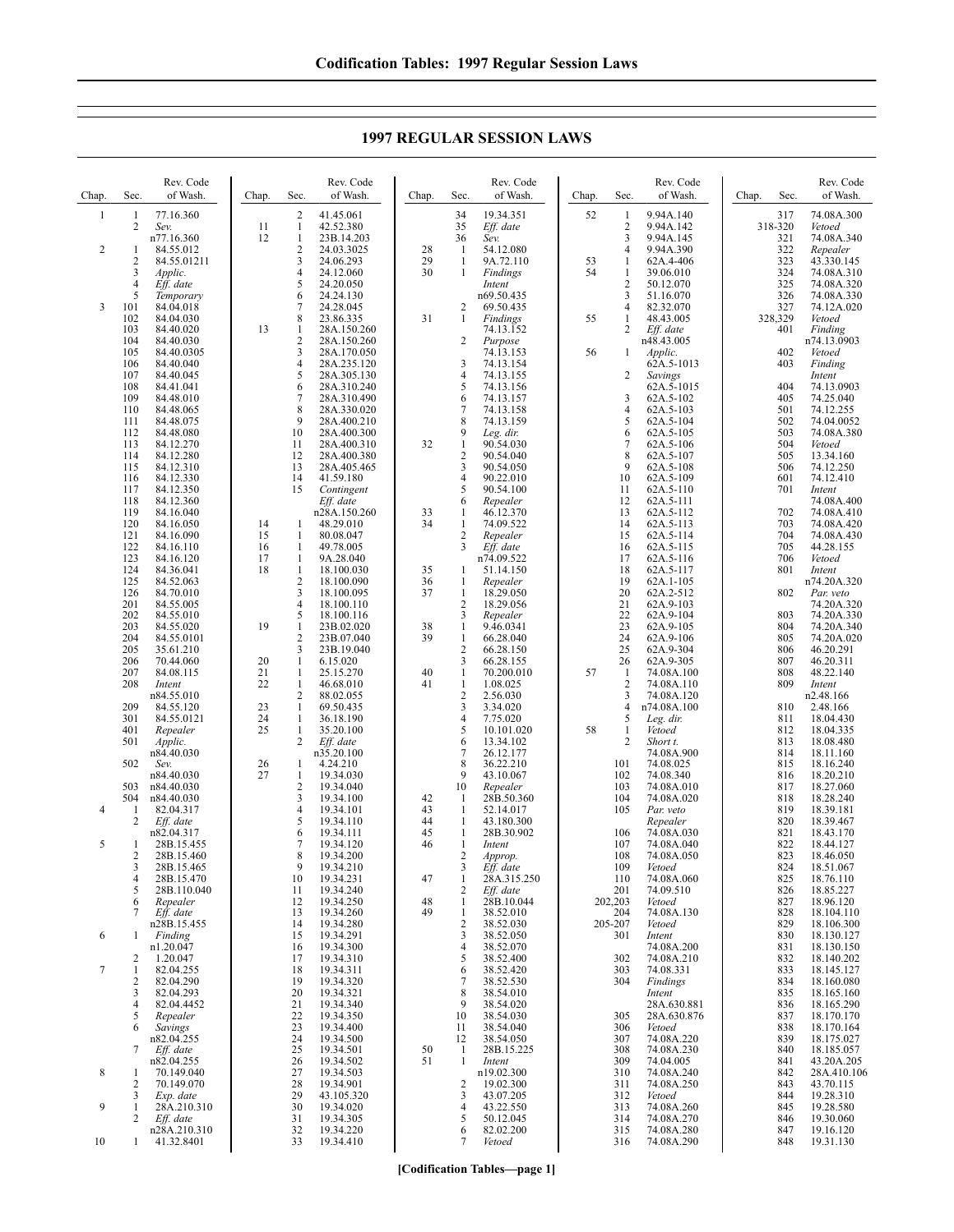**1997 REGULAR SESSION LAWS**

| Chap.          | Sec.                 | Rev. Code<br>of Wash.      | Chap.    | Sec.                           | Rev. Code<br>of Wash.      | Chap.    | Sec.                           | Rev. Code<br>of Wash.        | Chap.    | Sec.                           | Rev. Code<br>of Wash.    | Chap. | Sec.           | Rev. Code<br>of Wash.     |
|----------------|----------------------|----------------------------|----------|--------------------------------|----------------------------|----------|--------------------------------|------------------------------|----------|--------------------------------|--------------------------|-------|----------------|---------------------------|
| 1              | 1                    | 77.16.360                  |          | $\overline{2}$                 | 41.45.061                  |          | 34                             | 19.34.351                    | 52       | $\mathbf{1}$                   | 9.94A.140                |       | 317            | 74.08A.300                |
|                | 2                    | Sev.<br>n77.16.360         | 11<br>12 | $\mathbf{1}$<br>$\mathbf{1}$   | 42.52.380<br>23B.14.203    |          | 35<br>36                       | Eff. date<br>Sev.            |          | $\overline{2}$<br>3            | 9.94A.142<br>9.94A.145   |       | 318-320<br>321 | Vetoed<br>74.08A.340      |
| $\overline{2}$ | 1                    | 84.55.012                  |          | $\overline{2}$                 | 24.03.3025                 | 28       | -1                             | 54.12.080                    |          | $\overline{4}$                 | 9.94A.390                |       | 322            | Repealer                  |
|                | $\overline{2}$<br>3  | 84.55.01211<br>Applic.     |          | 3<br>$\overline{4}$            | 24.06.293<br>24.12.060     | 29<br>30 | $\mathbf{1}$<br>1              | 9A.72.110<br>Findings        | 53<br>54 | $\mathbf{1}$<br>$\mathbf{1}$   | 62A.4-406<br>39.06.010   |       | 323<br>324     | 43.330.145<br>74.08A.310  |
|                | 4                    | Eff. date                  |          | 5                              | 24.20.050                  |          |                                | Intent                       |          | $\overline{2}$                 | 50.12.070                |       | 325            | 74.08A.320                |
|                | 5                    | Temporary                  |          | 6                              | 24.24.130                  |          |                                | n69.50.435                   |          | 3                              | 51.16.070                |       | 326            | 74.08A.330                |
| 3              | 101<br>102           | 84.04.018<br>84.04.030     |          | 7<br>8                         | 24.28.045<br>23.86.335     | 31       | 2<br>1                         | 69.50.435<br><b>Findings</b> | 55       | 4<br>$\mathbf{1}$              | 82.32.070<br>48.43.005   |       | 327<br>328,329 | 74.12A.020<br>Vetoed      |
|                | 103                  | 84.40.020                  | 13       | 1                              | 28A.150.260                |          |                                | 74.13.152                    |          | $\overline{2}$                 | Eff. date                |       | 401            | Finding                   |
|                | 104<br>105           | 84.40.030<br>84.40.0305    |          | $\sqrt{2}$<br>3                | 28A.150.260<br>28A.170.050 |          | $\overline{2}$                 | Purpose<br>74.13.153         | 56       | -1                             | n48.43.005<br>Applic.    |       | 402            | n74.13.0903<br>Vetoed     |
|                | 106                  | 84.40.040                  |          | $\overline{4}$                 | 28A.235.120                |          | 3                              | 74.13.154                    |          |                                | 62A.5-1013               |       | 403            | Finding                   |
|                | 107<br>108           | 84.40.045<br>84.41.041     |          | 5<br>6                         | 28A.305.130<br>28A.310.240 |          | 4<br>5                         | 74.13.155<br>74.13.156       |          | 2                              | Savings<br>62A.5-1015    |       | 404            | Intent<br>74.13.0903      |
|                | 109                  | 84.48.010                  |          | 7                              | 28A.310.490                |          | 6                              | 74.13.157                    |          | 3                              | 62A.5-102                |       | 405            | 74.25.040                 |
|                | 110                  | 84.48.065                  |          | 8<br>9                         | 28A.330.020                |          | 7                              | 74.13.158                    |          | $\overline{4}$                 | 62A.5-103                |       | 501            | 74.12.255                 |
|                | 111<br>112           | 84.48.075<br>84.48.080     |          | 10                             | 28A.400.210<br>28A.400.300 |          | 8<br>9                         | 74.13.159<br>Leg. dir.       |          | 5<br>6                         | 62A.5-104<br>62A.5-105   |       | 502<br>503     | 74.04.0052<br>74.08A.380  |
|                | 113                  | 84.12.270                  |          | 11                             | 28A.400.310                | 32       | 1                              | 90.54.030                    |          | 7                              | 62A.5-106                |       | 504            | Vetoed                    |
|                | 114<br>115           | 84.12.280<br>84.12.310     |          | 12<br>13                       | 28A.400.380<br>28A.405.465 |          | $\overline{c}$<br>3            | 90.54.040<br>90.54.050       |          | 8<br>9                         | 62A.5-107<br>62A.5-108   |       | 505<br>506     | 13.34.160<br>74.12.250    |
|                | 116                  | 84.12.330                  |          | 14                             | 41.59.180                  |          | 4                              | 90.22.010                    |          | 10                             | 62A.5-109                |       | 601            | 74.12.410                 |
|                | 117<br>118           | 84.12.350<br>84.12.360     |          | 15                             | Contingent<br>Eff. date    |          | 5<br>6                         | 90.54.100<br>Repealer        |          | 11<br>12                       | 62A.5-110<br>62A.5-111   |       | 701            | Intent<br>74.08A.400      |
|                | 119                  | 84.16.040                  |          |                                | n28A.150.260               | 33       | 1                              | 46.12.370                    |          | 13                             | 62A.5-112                |       | 702            | 74.08A.410                |
|                | 120<br>121           | 84.16.050                  | 14<br>15 | -1<br>1                        | 48.29.010                  | 34       | $\mathbf{1}$<br>$\overline{2}$ | 74.09.522                    |          | 14<br>15                       | 62A.5-113<br>62A.5-114   |       | 703<br>704     | 74.08A.420                |
|                | 122                  | 84.16.090<br>84.16.110     | 16       | 1                              | 80.08.047<br>49.78.005     |          | 3                              | Repealer<br>Eff. date        |          | 16                             | 62A.5-115                |       | 705            | 74.08A.430<br>44.28.155   |
|                | 123                  | 84.16.120                  | 17       | 1                              | 9A.28.040                  |          |                                | n74.09.522                   |          | 17                             | 62A.5-116                |       | 706            | Vetoed                    |
|                | 124<br>125           | 84.36.041<br>84.52.063     | 18       | $\mathbf{1}$<br>$\overline{2}$ | 18.100.030<br>18.100.090   | 35<br>36 | 1<br>1                         | 51.14.150<br>Repealer        |          | 18<br>19                       | 62A.5-117<br>62A.1-105   |       | 801            | Intent<br>n74.20A.320     |
|                | 126                  | 84.70.010                  |          | 3                              | 18.100.095                 | 37       | 1                              | 18.29.050                    |          | 20                             | 62A.2-512                |       | 802            | Par. veto                 |
|                | 201<br>202           | 84.55.005<br>84.55.010     |          | $\overline{4}$<br>5            | 18.100.110<br>18.100.116   |          | $\overline{2}$<br>3            | 18.29.056<br>Repealer        |          | 21<br>22                       | 62A.9-103<br>62A.9-104   |       | 803            | 74.20A.320<br>74.20A.330  |
|                | 203                  | 84.55.020                  | 19       | $\mathbf{1}$                   | 23B.02.020                 | 38       | 1                              | 9.46.0341                    |          | 23                             | 62A.9-105                |       | 804            | 74.20A.340                |
|                | 204<br>205           | 84.55.0101<br>35.61.210    |          | $\overline{2}$<br>3            | 23B.07.040<br>23B.19.040   | 39       | $\mathbf{1}$<br>$\overline{2}$ | 66.28.040<br>66.28.150       |          | 24<br>25                       | 62A.9-106<br>62A.9-304   |       | 805<br>806     | 74.20A.020<br>46.20.291   |
|                | 206                  | 70.44.060                  | 20       | 1                              | 6.15.020                   |          | 3                              | 66.28.155                    |          | 26                             | 62A.9-305                |       | 807            | 46.20.311                 |
|                | 207<br>208           | 84.08.115<br>Intent        | 21<br>22 | $\mathbf{1}$<br>1              | 25.15.270<br>46.68.010     | 40<br>41 | 1<br>$\mathbf{1}$              | 70.200.010<br>1.08.025       | 57       | $\mathbf{1}$<br>$\overline{2}$ | 74.08A.100<br>74.08A.110 |       | 808<br>809     | 48.22.140<br>Intent       |
|                |                      | n84.55.010                 |          | $\overline{2}$                 | 88.02.055                  |          | $\sqrt{2}$                     | 2.56.030                     |          | 3                              | 74.08A.120               |       |                | n2.48.166                 |
|                | 209<br>301           | 84.55.120<br>84.55.0121    | 23<br>24 | $\mathbf{1}$<br>$\mathbf{1}$   | 69.50.435<br>36.18.190     |          | 3<br>4                         | 3.34.020<br>7.75.020         |          | $\overline{4}$<br>5            | n74.08A.100<br>Leg. dir. |       | 810<br>811     | 2.48.166<br>18.04.430     |
|                | 401                  | Repealer                   | 25       | $\mathbf{1}$                   | 35.20.100                  |          | 5                              | 10.101.020                   | 58       | $\mathbf{1}$                   | Vetoed                   |       | 812            | 18.04.335                 |
|                | 501                  | Applic.<br>n84.40.030      |          | $\overline{c}$                 | Eff. date<br>n35.20.100    |          | 6<br>7                         | 13.34.102<br>26.12.177       |          | $\overline{2}$                 | Short t.<br>74.08A.900   |       | 813<br>814     | 18.08.480<br>18.11.160    |
|                | 502                  | Sev.                       | 26       | 1                              | 4.24.210                   |          | 8                              | 36.22.210                    |          | 101                            | 74.08.025                |       | 815            | 18.16.240                 |
|                | 503                  | n84.40.030<br>n84.40.030   | 27       | $\mathbf{1}$<br>$\overline{2}$ | 19.34.030<br>19.34.040     |          | 9<br>10                        | 43.10.067<br>Repealer        |          | 102<br>103                     | 74.08.340                |       | 816<br>817     | 18.20.210                 |
|                | 504                  | n84.40.030                 |          | 3                              | 19.34.100                  | 42       | -1                             | 28B.50.360                   |          | 104                            | 74.08A.010<br>74.08A.020 |       | 818            | 18.27.060<br>18.28.240    |
| 4              | -1<br>$\overline{c}$ | 82.04.317                  |          | 4<br>5                         | 19.34.101                  | 43<br>44 | $\mathbf{1}$<br>$\mathbf{1}$   | 52.14.017                    |          | 105                            | Par. veto                |       | 819            | 18.39.181                 |
|                |                      | Eff. date<br>n82.04.317    |          | 6                              | 19.34.110<br>19.34.111     | 45       | 1                              | 43.180.300<br>28B.30.902     |          | 106                            | Repealer<br>74.08A.030   |       | 820<br>821     | 18.39.467<br>18.43.170    |
| 5              | 1                    | 28B.15.455                 |          | $\overline{7}$                 | 19.34.120                  | 46       | $\mathbf{1}$                   | Intent                       |          | 107                            | 74.08A.040               |       | 822            | 18.44.127                 |
|                | 2<br>3               | 28B.15.460<br>28B.15.465   |          | 8<br>9                         | 19.34.200<br>19.34.210     |          | $\overline{2}$<br>3            | Approp.<br>Eff. date         |          | 108<br>109                     | 74.08A.050<br>Vetoed     |       | 823<br>824     | 18.46.050<br>18.51.067    |
|                | 4                    | 28B.15.470                 |          | 10                             | 19.34.231                  | 47       | 1                              | 28A.315.250                  |          | 110                            | 74.08A.060               |       | 825            | 18.76.110                 |
|                | 5<br>6               | 28B.110.040<br>Repealer    |          | 11<br>12                       | 19.34.240<br>19.34.250     | 48       | $\overline{2}$<br>$\mathbf{1}$ | Eff. date<br>28B.10.044      |          | 201<br>202,203                 | 74.09.510<br>Vetoed      |       | 826<br>827     | 18.85.227<br>18.96.120    |
|                | 7                    | Eff. date                  |          | 13                             | 19.34.260                  | 49       | $\mathbf{1}$                   | 38.52.010                    |          | 204                            | 74.08A.130               |       | 828            | 18.104.110                |
| 6              | 1                    | n28B.15.455<br>Finding     |          | 14<br>15                       | 19.34.280<br>19.34.291     |          | $\sqrt{2}$<br>3                | 38.52.030<br>38.52.050       |          | 205-207<br>301                 | Vetoed<br>Intent         |       | 829<br>830     | 18.106.300<br>18.130.127  |
|                |                      | n1.20.047                  |          | 16                             | 19.34.300                  |          | 4                              | 38.52.070                    |          |                                | 74.08A.200               |       | 831            | 18.130.150                |
| 7              | 2<br>$\mathbf{1}$    | 1.20.047<br>82.04.255      |          | 17<br>18                       | 19.34.310<br>19.34.311     |          | 5<br>6                         | 38.52.400<br>38.52.420       |          | 302<br>303                     | 74.08A.210<br>74.08.331  |       | 832<br>833     | 18.140.202<br>18.145.127  |
|                | 2                    | 82.04.290                  |          | 19                             | 19.34.320                  |          | $\overline{7}$                 | 38.52.530                    |          | 304                            | Findings                 |       | 834            | 18.160.080                |
|                | 3<br>4               | 82.04.293<br>82.04.4452    |          | 20<br>21                       | 19.34.321<br>19.34.340     |          | 8<br>9                         | 38.54.010<br>38.54.020       |          |                                | Intent<br>28A.630.881    |       | 835<br>836     | 18.165.160<br>18.165.290  |
|                | 5                    | Repealer                   |          | 22                             | 19.34.350                  |          | 10                             | 38.54.030                    |          | 305                            | 28A.630.876              |       | 837            | 18.170.170                |
|                | 6                    | Savings<br>n82.04.255      |          | 23<br>24                       | 19.34.400<br>19.34.500     |          | 11<br>12                       | 38.54.040<br>38.54.050       |          | 306<br>307                     | Vetoed<br>74.08A.220     |       | 838<br>839     | 18.170.164<br>18.175.027  |
|                | 7                    | Eff. date                  |          | 25                             | 19.34.501                  | 50       | $\mathbf{1}$                   | 28B.15.225                   |          | 308                            | 74.08A.230               |       | 840            | 18.185.057                |
| 8              | 1                    | n82.04.255<br>70.149.040   |          | 26<br>27                       | 19.34.502<br>19.34.503     | 51       | $\mathbf{1}$                   | Intent<br>n19.02.300         |          | 309<br>310                     | 74.04.005<br>74.08A.240  |       | 841<br>842     | 43.20A.205<br>28A.410.106 |
|                | $\overline{2}$       | 70.149.070                 |          | 28                             | 19.34.901                  |          | $\overline{2}$                 | 19.02.300                    |          | 311                            | 74.08A.250               |       | 843            | 43.70.115                 |
| 9              | 3<br>$\mathbf{1}$    | Exp. date<br>28A.210.310   |          | 29<br>30                       | 43.105.320<br>19.34.020    |          | 3<br>4                         | 43.07.205<br>43.22.550       |          | 312<br>313                     | Vetoed<br>74.08A.260     |       | 844<br>845     | 19.28.310<br>19.28.580    |
|                | 2                    | Eff. date                  |          | 31                             | 19.34.305                  |          | 5                              | 50.12.045                    |          | 314                            | 74.08A.270               |       | 846            | 19.30.060                 |
| 10             | $\mathbf{1}$         | n28A.210.310<br>41.32.8401 |          | 32<br>33                       | 19.34.220<br>19.34.410     |          | 6<br>7                         | 82.02.200<br>Vetoed          |          | 315<br>316                     | 74.08A.280<br>74.08A.290 |       | 847<br>848     | 19.16.120<br>19.31.130    |
|                |                      |                            |          |                                |                            |          |                                |                              |          |                                |                          |       |                |                           |

**[Codification Tables—page 1]**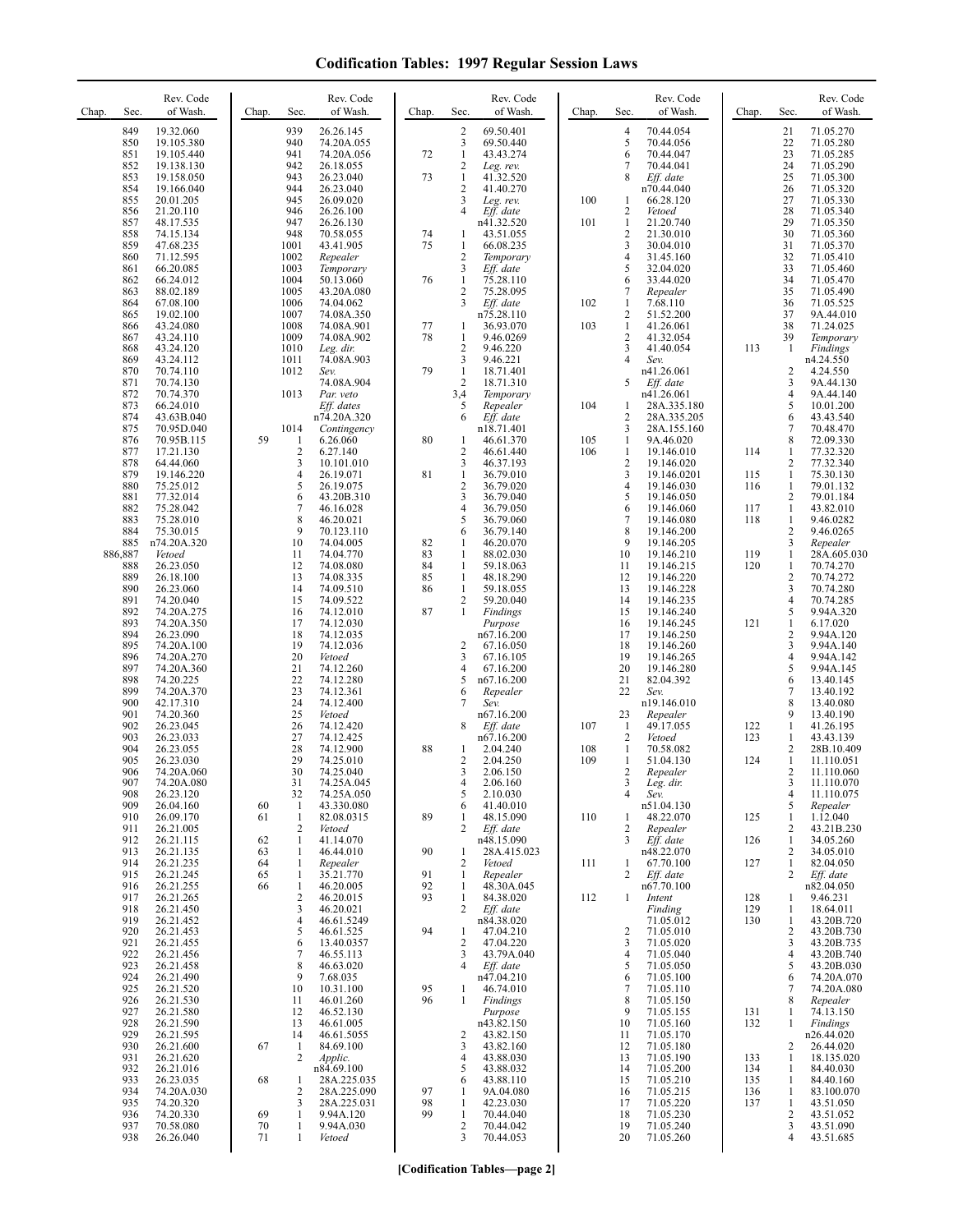| Chap. | Sec.           | Rev. Code<br>of Wash.    | Chap.    | Sec.                | Rev. Code<br>of Wash.     | Chap.    | Sec.                           | Rev. Code<br>of Wash.   | Chap.      | Sec.                               | Rev. Code<br>of Wash.      | Chap.      | Sec.                         | Rev. Code<br>of Wash.    |
|-------|----------------|--------------------------|----------|---------------------|---------------------------|----------|--------------------------------|-------------------------|------------|------------------------------------|----------------------------|------------|------------------------------|--------------------------|
|       | 849            | 19.32.060                |          | 939                 | 26.26.145                 |          | 2                              | 69.50.401               |            | 4                                  | 70.44.054                  |            | 21                           | 71.05.270                |
|       | 850<br>851     | 19.105.380<br>19.105.440 |          | 940<br>941          | 74.20A.055<br>74.20A.056  | 72       | 3<br>$\mathbf{1}$              | 69.50.440<br>43.43.274  |            | 5<br>6                             | 70.44.056<br>70.44.047     |            | 22<br>23                     | 71.05.280<br>71.05.285   |
|       | 852            | 19.138.130               |          | 942                 | 26.18.055                 |          | $\overline{c}$                 | Leg. rev.               |            | 7                                  | 70.44.041                  |            | 24                           | 71.05.290                |
|       | 853<br>854     | 19.158.050<br>19.166.040 |          | 943<br>944          | 26.23.040<br>26.23.040    | 73       | $\mathbf{1}$<br>2              | 41.32.520<br>41.40.270  |            | 8                                  | Eff. date<br>n70.44.040    |            | 25<br>26                     | 71.05.300<br>71.05.320   |
|       | 855            | 20.01.205                |          | 945                 | 26.09.020                 |          | 3                              | Leg. rev.               | 100        | 1                                  | 66.28.120                  |            | 27                           | 71.05.330                |
|       | 856            | 21.20.110                |          | 946<br>947          | 26.26.100                 |          | 4                              | Eff. date               |            | $\overline{\mathbf{c}}$<br>$\,1\,$ | Vetoed                     |            | 28<br>29                     | 71.05.340                |
|       | 857<br>858     | 48.17.535<br>74.15.134   |          | 948                 | 26.26.130<br>70.58.055    | 74       | 1                              | n41.32.520<br>43.51.055 | 101        | $\overline{c}$                     | 21.20.740<br>21.30.010     |            | 30                           | 71.05.350<br>71.05.360   |
|       | 859            | 47.68.235                |          | 1001                | 43.41.905                 | 75       | $\mathbf{1}$                   | 66.08.235               |            | 3                                  | 30.04.010                  |            | 31                           | 71.05.370                |
|       | 860<br>861     | 71.12.595<br>66.20.085   |          | 1002<br>1003        | Repealer<br>Temporary     |          | $\overline{c}$<br>3            | Temporary<br>Eff. date  |            | $\overline{4}$<br>5                | 31.45.160<br>32.04.020     |            | 32<br>33                     | 71.05.410<br>71.05.460   |
|       | 862            | 66.24.012                |          | 1004                | 50.13.060                 | 76       | $\mathbf{1}$                   | 75.28.110               |            | 6                                  | 33.44.020                  |            | 34                           | 71.05.470                |
|       | 863<br>864     | 88.02.189<br>67.08.100   |          | 1005<br>1006        | 43.20A.080<br>74.04.062   |          | 2<br>3                         | 75.28.095<br>Eff. date  | 102        | 7<br>$\mathbf{1}$                  | Repealer<br>7.68.110       |            | 35<br>36                     | 71.05.490<br>71.05.525   |
|       | 865            | 19.02.100                |          | 1007                | 74.08A.350                |          |                                | n75.28.110              |            | $\overline{2}$                     | 51.52.200                  |            | 37                           | 9A.44.010                |
|       | 866<br>867     | 43.24.080<br>43.24.110   |          | 1008<br>1009        | 74.08A.901<br>74.08A.902  | 77<br>78 | 1<br>1                         | 36.93.070<br>9.46.0269  | 103        | $\mathbf{1}$<br>$\overline{c}$     | 41.26.061<br>41.32.054     |            | 38<br>39                     | 71.24.025<br>Temporary   |
|       | 868            | 43.24.120                |          | 1010                | Leg. dir.                 |          | $\sqrt{2}$                     | 9.46.220                |            | 3                                  | 41.40.054                  | 113        | 1                            | Findings                 |
|       | 869<br>870     | 43.24.112<br>70.74.110   |          | 1011<br>1012        | 74.08A.903<br>Sev.        | 79       | 3<br>$\mathbf{1}$              | 9.46.221<br>18.71.401   |            | $\overline{4}$                     | Sev.<br>n41.26.061         |            | 2                            | n4.24.550<br>4.24.550    |
|       | 871            | 70.74.130                |          |                     | 74.08A.904                |          | $\overline{c}$                 | 18.71.310               |            | 5                                  | Eff. date                  |            | 3                            | 9A.44.130                |
|       | 872<br>873     | 70.74.370                |          | 1013                | Par. veto<br>Eff. dates   |          | 3,4<br>5                       | Temporary<br>Repealer   | 104        |                                    | n41.26.061                 |            | 4<br>5                       | 9A.44.140                |
|       | 874            | 66.24.010<br>43.63B.040  |          |                     | n74.20A.320               |          | 6                              | Eff. date               |            | 1<br>$\overline{2}$                | 28A.335.180<br>28A.335.205 |            | 6                            | 10.01.200<br>43.43.540   |
|       | 875            | 70.95D.040               |          | 1014                | Contingency               |          |                                | n18.71.401              |            | 3                                  | 28A.155.160                |            | 7                            | 70.48.470                |
|       | 876<br>877     | 70.95B.115<br>17.21.130  | 59       | $\overline{c}$      | 6.26.060<br>6.27.140      | 80       | 1<br>$\sqrt{2}$                | 46.61.370<br>46.61.440  | 105<br>106 | 1<br>$\mathbf{1}$                  | 9A.46.020<br>19.146.010    | 114        | 8<br>1                       | 72.09.330<br>77.32.320   |
|       | 878            | 64.44.060                |          | 3                   | 10.101.010                |          | 3                              | 46.37.193               |            | $\overline{\mathbf{c}}$            | 19.146.020                 |            | 2                            | 77.32.340                |
|       | 879<br>880     | 19.146.220<br>75.25.012  |          | $\overline{4}$<br>5 | 26.19.071<br>26.19.075    | 81       | $\mathbf{1}$<br>$\overline{c}$ | 36.79.010<br>36.79.020  |            | 3<br>$\overline{4}$                | 19.146.0201<br>19.146.030  | 115<br>116 | $\mathbf{1}$<br>1            | 75.30.130<br>79.01.132   |
|       | 881            | 77.32.014                |          | 6                   | 43.20B.310                |          | 3                              | 36.79.040               |            | 5                                  | 19.146.050                 |            | $\overline{c}$               | 79.01.184                |
|       | 882<br>883     | 75.28.042<br>75.28.010   |          | 7<br>8              | 46.16.028<br>46.20.021    |          | 4<br>5                         | 36.79.050<br>36.79.060  |            | 6<br>7                             | 19.146.060<br>19.146.080   | 117<br>118 | $\mathbf{1}$<br>$\mathbf{1}$ | 43.82.010<br>9.46.0282   |
|       | 884            | 75.30.015                |          | 9                   | 70.123.110                |          | 6                              | 36.79.140               |            | 8                                  | 19.146.200                 |            | $\overline{c}$               | 9.46.0265                |
|       | 885<br>886,887 | n74.20A.320<br>Vetoed    |          | 10<br>11            | 74.04.005<br>74.04.770    | 82<br>83 | 1<br>$\mathbf{1}$              | 46.20.070<br>88.02.030  |            | 9<br>10                            | 19.146.205<br>19.146.210   | 119        | 3<br>$\mathbf{1}$            | Repealer<br>28A.605.030  |
|       | 888            | 26.23.050                |          | 12                  | 74.08.080                 | 84       | $\mathbf{1}$                   | 59.18.063               |            | 11                                 | 19.146.215                 | 120        | $\mathbf{1}$                 | 70.74.270                |
|       | 889<br>890     | 26.18.100<br>26.23.060   |          | 13<br>14            | 74.08.335<br>74.09.510    | 85<br>86 | $\mathbf{1}$<br>$\mathbf{1}$   | 48.18.290<br>59.18.055  |            | 12<br>13                           | 19.146.220<br>19.146.228   |            | $\overline{c}$<br>3          | 70.74.272<br>70.74.280   |
|       | 891            | 74.20.040                |          | 15                  | 74.09.522                 |          | $\overline{c}$                 | 59.20.040               |            | 14                                 | 19.146.235                 |            | $\overline{4}$               | 70.74.285                |
|       | 892<br>893     | 74.20A.275<br>74.20A.350 |          | 16<br>17            | 74.12.010<br>74.12.030    | 87       | 1                              | Findings<br>Purpose     |            | 15<br>16                           | 19.146.240<br>19.146.245   | 121        | 5<br>$\mathbf{1}$            | 9.94A.320<br>6.17.020    |
|       | 894            | 26.23.090                |          | 18                  | 74.12.035                 |          |                                | n67.16.200              |            | 17                                 | 19.146.250                 |            | $\mathbf{2}$                 | 9.94A.120                |
|       | 895<br>896     | 74.20A.100<br>74.20A.270 |          | 19<br>20            | 74.12.036<br>Vetoed       |          | $\overline{\mathbf{c}}$<br>3   | 67.16.050<br>67.16.105  |            | 18<br>19                           | 19.146.260<br>19.146.265   |            | 3<br>4                       | 9.94A.140<br>9.94A.142   |
|       | 897            | 74.20A.360               |          | 21                  | 74.12.260                 |          | 4                              | 67.16.200               |            | 20                                 | 19.146.280                 |            | 5                            | 9.94A.145                |
|       | 898<br>899     | 74.20.225<br>74.20A.370  |          | 22<br>23            | 74.12.280<br>74.12.361    |          | 5<br>6                         | n67.16.200<br>Repealer  |            | 21<br>22                           | 82.04.392<br>Sev.          |            | 6<br>7                       | 13.40.145<br>13.40.192   |
|       | 900            | 42.17.310                |          | 24                  | 74.12.400                 |          | 7                              | Sev.                    |            |                                    | n19.146.010                |            | 8                            | 13.40.080                |
|       | 901<br>902     | 74.20.360<br>26.23.045   |          | 25<br>26            | Vetoed<br>74.12.420       |          | 8                              | n67.16.200<br>Eff. date | 107        | 23<br>$\mathbf{1}$                 | Repealer<br>49.17.055      |            | 9<br>$\mathbf{1}$            | 13.40.190<br>41.26.195   |
|       | 903            | 26.23.033                |          | 27                  | 74.12.425                 |          |                                | n67.16.200              |            | $\overline{c}$                     | Vetoed                     | 122<br>123 | 1                            | 43.43.139                |
|       | 904            | 26.23.055                |          | 28<br>29            | 74.12.900                 | 88       | 1                              | 2.04.240                | 108        | 1                                  | 70.58.082<br>51.04.130     |            | 2                            | 28B.10.409               |
|       | 905<br>906     | 26.23.030<br>74.20A.060  |          | 30                  | 74.25.010<br>74.25.040    |          | 2<br>3                         | 2.04.250<br>2.06.150    | 109        | $\mathbf{1}$<br>2                  | Repealer                   | 124        | $\mathbf{1}$<br>2            | 11.110.051<br>11.110.060 |
|       | 907            | 74.20A.080               |          | 31                  | 74.25A.045<br>74.25A.050  |          |                                | 2.06.160                |            | 3<br>4                             | Leg. dir.                  |            | 3                            | 11.110.070<br>11.110.075 |
|       | 908<br>909     | 26.23.120<br>26.04.160   | 60       | 32<br>$\mathbf{1}$  | 43.330.080                |          | 5<br>6                         | 2.10.030<br>41.40.010   |            |                                    | Sev.<br>n51.04.130         |            | 4<br>5                       | Repealer                 |
|       | 910<br>911     | 26.09.170<br>26.21.005   | 61       | $\mathbf{1}$<br>2   | 82.08.0315<br>Vetoed      | 89       | 1<br>2                         | 48.15.090<br>Eff. date  | 110        | -1<br>$\overline{c}$               | 48.22.070<br>Repealer      | 125        | 1<br>2                       | 1.12.040<br>43.21B.230   |
|       | 912            | 26.21.115                | 62       | 1                   | 41.14.070                 |          |                                | n48.15.090              |            | 3                                  | Eff. date                  | 126        | 1                            | 34.05.260                |
|       | 913            | 26.21.135                | 63       | 1                   | 46.44.010<br>Repealer     | 90       | 1<br>2                         | 28A.415.023<br>Vetoed   |            |                                    | n48.22.070                 |            | 2<br>$\mathbf{1}$            | 34.05.010                |
|       | 914<br>915     | 26.21.235<br>26.21.245   | 64<br>65 | $\mathbf{1}$<br>1   | 35.21.770                 | 91       | 1                              | Repealer                | 111        | 1<br>2                             | 67.70.100<br>Eff. date     | 127        | 2                            | 82.04.050<br>Eff. date   |
|       | 916            | 26.21.255<br>26.21.265   | 66       | $\mathbf{1}$        | 46.20.005                 | 92<br>93 | 1                              | 48.30A.045              |            |                                    | n67.70.100                 |            |                              | n82.04.050               |
|       | 917<br>918     | 26.21.450                |          | 2<br>3              | 46.20.015<br>46.20.021    |          | $\mathbf{1}$<br>2              | 84.38.020<br>Eff. date  | 112        | $\mathbf{1}$                       | Intent<br>Finding          | 128<br>129 | 1<br>1                       | 9.46.231<br>18.64.011    |
|       | 919            | 26.21.452                |          | 4                   | 46.61.5249                |          |                                | n84.38.020              |            |                                    | 71.05.012                  | 130        | 1                            | 43.20B.720               |
|       | 920<br>921     | 26.21.453<br>26.21.455   |          | 5<br>6              | 46.61.525<br>13.40.0357   | 94       | 1<br>2                         | 47.04.210<br>47.04.220  |            | 2<br>3                             | 71.05.010<br>71.05.020     |            | 2<br>3                       | 43.20B.730<br>43.20B.735 |
|       | 922            | 26.21.456                |          | 7                   | 46.55.113                 |          | 3                              | 43.79A.040              |            | 4                                  | 71.05.040                  |            | $\overline{4}$               | 43.20B.740               |
|       | 923<br>924     | 26.21.458<br>26.21.490   |          | 8<br>9              | 46.63.020<br>7.68.035     |          | 4                              | Eff. date<br>n47.04.210 |            | 5<br>6                             | 71.05.050<br>71.05.100     |            | 5<br>6                       | 43.20B.030<br>74.20A.070 |
|       | 925            | 26.21.520                |          | 10                  | 10.31.100                 | 95       | $\mathbf{1}$                   | 46.74.010               |            | 7                                  | 71.05.110                  |            | 7                            | 74.20A.080               |
|       | 926<br>927     | 26.21.530<br>26.21.580   |          | 11<br>12            | 46.01.260<br>46.52.130    | 96       | $\mathbf{1}$                   | Findings<br>Purpose     |            | 8<br>9                             | 71.05.150<br>71.05.155     | 131        | 8<br>$\mathbf{1}$            | Repealer<br>74.13.150    |
|       | 928            | 26.21.590                |          | 13                  | 46.61.005                 |          |                                | n43.82.150              |            | 10                                 | 71.05.160                  | 132        | $\mathbf{1}$                 | Findings                 |
|       | 929<br>930     | 26.21.595<br>26.21.600   | 67       | 14<br>-1            | 46.61.5055<br>84.69.100   |          | 2<br>3                         | 43.82.150<br>43.82.160  |            | 11<br>12                           | 71.05.170<br>71.05.180     |            | 2                            | n26.44.020<br>26.44.020  |
|       | 931            | 26.21.620                |          | $\overline{c}$      | Applic.                   |          | 4                              | 43.88.030               |            | 13                                 | 71.05.190                  | 133        | 1                            | 18.135.020               |
|       | 932<br>933     | 26.21.016<br>26.23.035   | 68       | 1                   | n84.69.100<br>28A.225.035 |          | 5<br>6                         | 43.88.032<br>43.88.110  |            | 14<br>15                           | 71.05.200<br>71.05.210     | 134<br>135 | 1<br>1                       | 84.40.030<br>84.40.160   |
|       | 934            | 74.20A.030               |          | 2                   | 28A.225.090               | 97       | 1                              | 9A.04.080               |            | 16                                 | 71.05.215                  | 136        | 1                            | 83.100.070               |
|       | 935<br>936     | 74.20.320<br>74.20.330   | 69       | 3<br>$\mathbf{1}$   | 28A.225.031<br>9.94A.120  | 98<br>99 | $\mathbf{1}$<br>$\mathbf{1}$   | 42.23.030<br>70.44.040  |            | 17<br>18                           | 71.05.220<br>71.05.230     | 137        | 1<br>2                       | 43.51.050<br>43.51.052   |
|       | 937            | 70.58.080                | 70       | 1                   | 9.94A.030                 |          | 2                              | 70.44.042               |            | 19                                 | 71.05.240                  |            | 3                            | 43.51.090                |
|       | 938            | 26.26.040                | 71       | 1                   | Vetoed                    |          | 3                              | 70.44.053               |            | 20                                 | 71.05.260                  |            | 4                            | 43.51.685                |

**[Codification Tables—page 2]**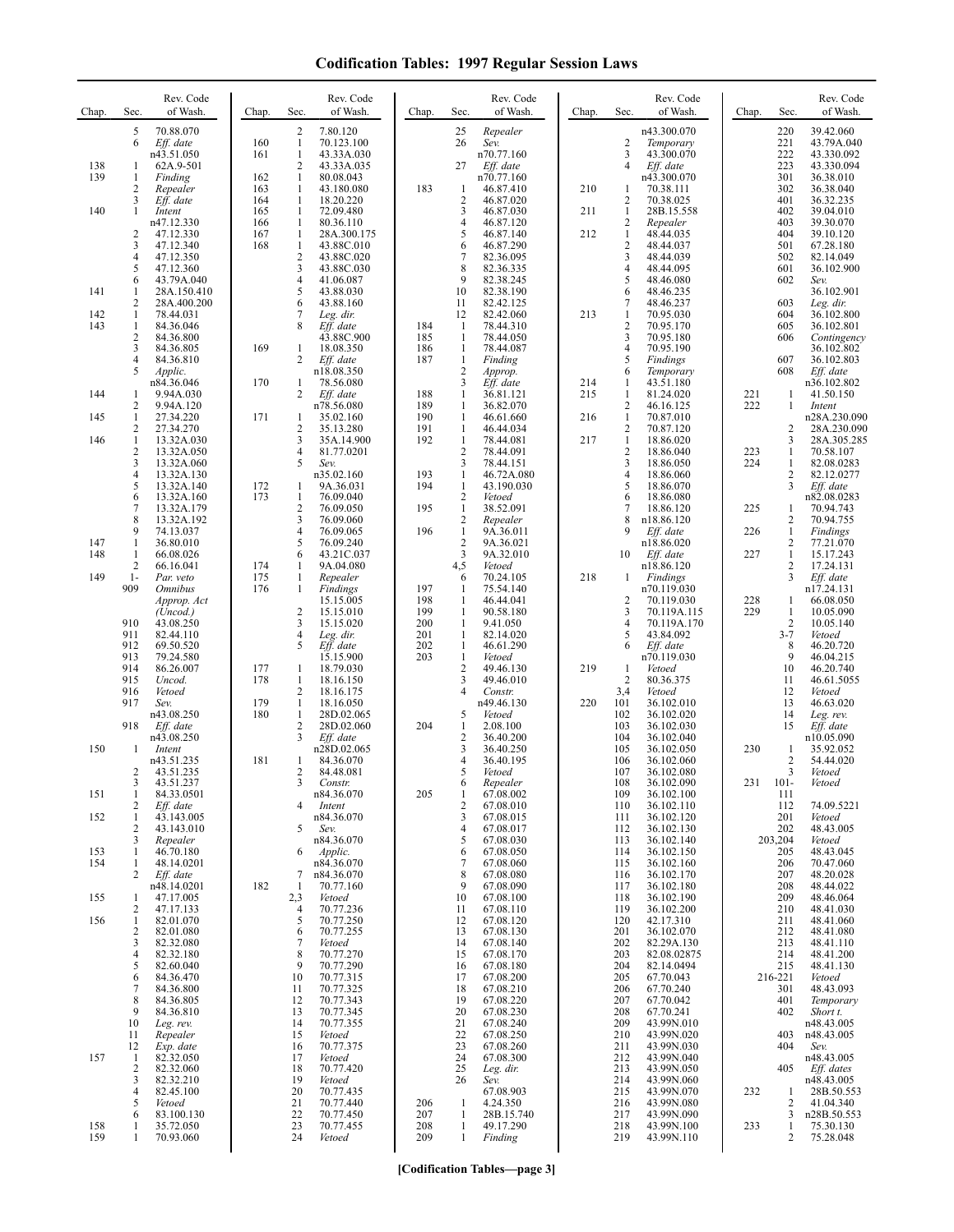| Chap.      | Sec.                           | Rev. Code<br>of Wash.                | Chap.      | Sec.                           | Rev. Code<br>of Wash.    | Chap.      | Sec.                           | Rev. Code<br>of Wash.   | Chap.      | Sec.                                  | Rev. Code<br>of Wash.         | Chap. | Sec.                      | Rev. Code<br>of Wash.      |
|------------|--------------------------------|--------------------------------------|------------|--------------------------------|--------------------------|------------|--------------------------------|-------------------------|------------|---------------------------------------|-------------------------------|-------|---------------------------|----------------------------|
|            | 5<br>6                         | 70.88.070<br>Eff. date               | 160        | 2<br>$\mathbf{1}$              | 7.80.120<br>70.123.100   |            | 25<br>26                       | Repealer<br>Sev.        |            | $\overline{c}$                        | n43.300.070<br>Temporary      |       | 220<br>221                | 39.42.060<br>43.79A.040    |
| 138        | 1                              | n43.51.050<br>62A.9-501              | 161        | $\mathbf{1}$<br>2              | 43.33A.030<br>43.33A.035 |            | 27                             | n70.77.160<br>Eff. date |            | $\overline{3}$<br>$\overline{4}$      | 43.300.070<br>Eff. date       |       | 222<br>223                | 43.330.092<br>43.330.094   |
| 139        | 1                              | Finding                              | 162        | $\mathbf{1}$                   | 80.08.043                |            |                                | n70.77.160              |            |                                       | n43.300.070                   |       | 301                       | 36.38.010                  |
|            | 2<br>3                         | Repealer<br>Eff. date                | 163<br>164 | $\mathbf{1}$<br>1              | 43.180.080<br>18.20.220  | 183        | 1<br>$\overline{2}$            | 46.87.410<br>46.87.020  | 210        | 1<br>$\overline{2}$                   | 70.38.111<br>70.38.025        |       | 302<br>401                | 36.38.040<br>36.32.235     |
| 140        | 1                              | Intent<br>n47.12.330                 | 165<br>166 | 1<br>1                         | 72.09.480<br>80.36.110   |            | 3<br>4                         | 46.87.030<br>46.87.120  | 211        | $\mathbf{1}$<br>$\overline{c}$        | 28B.15.558<br>Repealer        |       | 402<br>403                | 39.04.010<br>39.30.070     |
|            | 2                              | 47.12.330                            | 167        | 1                              | 28A.300.175              |            | 5                              | 46.87.140               | 212        | $\mathbf{1}$                          | 48.44.035                     |       | 404                       | 39.10.120                  |
|            | 3<br>4                         | 47.12.340<br>47.12.350               | 168        | $\mathbf{1}$<br>$\overline{c}$ | 43.88C.010<br>43.88C.020 |            | 6<br>7                         | 46.87.290<br>82.36.095  |            | $\sqrt{2}$<br>$\overline{\mathbf{3}}$ | 48.44.037<br>48.44.039        |       | 501<br>502                | 67.28.180<br>82.14.049     |
|            | 5<br>6                         | 47.12.360<br>43.79A.040              |            | 3<br>4                         | 43.88C.030<br>41.06.087  |            | 8<br>9                         | 82.36.335<br>82.38.245  |            | $\overline{4}$<br>5                   | 48.44.095<br>48.46.080        |       | 601<br>602                | 36.102.900<br>Sev.         |
| 141        | 1                              | 28A.150.410                          |            | 5                              | 43.88.030                |            | 10                             | 82.38.190               |            | 6                                     | 48.46.235                     |       |                           | 36.102.901                 |
| 142        | 2<br>1                         | 28A.400.200<br>78.44.031             |            | 6<br>7                         | 43.88.160<br>Leg. dir.   |            | 11<br>12                       | 82.42.125<br>82.42.060  | 213        | 7<br>1                                | 48.46.237<br>70.95.030        |       | 603<br>604                | Leg. dir.<br>36.102.800    |
| 143        | $\mathbf{1}$<br>2              | 84.36.046<br>84.36.800               |            | 8                              | Eff. date<br>43.88C.900  | 184<br>185 | $\mathbf{1}$<br>$\mathbf{1}$   | 78.44.310<br>78.44.050  |            | $\sqrt{2}$<br>$\mathfrak{Z}$          | 70.95.170<br>70.95.180        |       | 605<br>606                | 36.102.801<br>Contingency  |
|            | 3<br>4                         | 84.36.805<br>84.36.810               | 169        | 1<br>$\overline{2}$            | 18.08.350<br>Eff. date   | 186<br>187 | $\mathbf{1}$<br>$\mathbf{1}$   | 78.44.087<br>Finding    |            | $\overline{4}$<br>5                   | 70.95.190<br>Findings         |       | 607                       | 36.102.802<br>36.102.803   |
|            | 5                              | Applic.                              |            |                                | n18.08.350               |            | $\overline{2}$                 | Approp.                 |            | 6                                     | Temporary                     |       | 608                       | Eff. date                  |
| 144        | 1                              | n84.36.046<br>9.94A.030              | 170        | 1<br>2                         | 78.56.080<br>Eff. date   | 188        | 3<br>$\mathbf{1}$              | Eff. date<br>36.81.121  | 214<br>215 | 1<br>1                                | 43.51.180<br>81.24.020        | 221   | 1                         | n36.102.802<br>41.50.150   |
| 145        | 2<br>$\mathbf{1}$              | 9.94A.120<br>27.34.220               | 171        | 1                              | n78.56.080<br>35.02.160  | 189<br>190 | $\mathbf{1}$<br>$\mathbf{1}$   | 36.82.070<br>46.61.660  | 216        | $\overline{2}$<br>$\mathbf{1}$        | 46.16.125<br>70.87.010        | 222   | $\mathbf{1}$              | Intent<br>n28A.230.090     |
| 146        | 2<br>1                         | 27.34.270<br>13.32A.030              |            | $\overline{\mathbf{c}}$<br>3   | 35.13.280<br>35A.14.900  | 191<br>192 | $\mathbf{1}$<br>$\mathbf{1}$   | 46.44.034<br>78.44.081  | 217        | $\overline{c}$<br>$\mathbf{1}$        | 70.87.120<br>18.86.020        |       | 2<br>3                    | 28A.230.090<br>28A.305.285 |
|            | 2                              | 13.32A.050                           |            | $\overline{4}$                 | 81.77.0201               |            | $\overline{2}$                 | 78.44.091               |            | $\sqrt{2}$                            | 18.86.040                     | 223   | 1                         | 70.58.107                  |
|            | 3<br>4                         | 13.32A.060<br>13.32A.130             |            | 5                              | Sev.<br>n35.02.160       | 193        | 3<br>$\mathbf{1}$              | 78.44.151<br>46.72A.080 |            | $\mathfrak{Z}$<br>$\overline{4}$      | 18.86.050<br>18.86.060        | 224   | 1<br>$\sqrt{2}$           | 82.08.0283<br>82.12.0277   |
|            | 5<br>6                         | 13.32A.140<br>13.32A.160             | 172<br>173 | 1<br>$\mathbf{1}$              | 9A.36.031<br>76.09.040   | 194        | $\mathbf{1}$<br>$\overline{c}$ | 43.190.030<br>Vetoed    |            | 5<br>6                                | 18.86.070<br>18.86.080        |       | 3                         | Eff. date<br>n82.08.0283   |
|            | 7<br>8                         | 13.32A.179<br>13.32A.192             |            | 2<br>3                         | 76.09.050<br>76.09.060   | 195        | $\mathbf{1}$<br>$\overline{c}$ | 38.52.091<br>Repealer   |            | $\overline{7}$<br>8                   | 18.86.120<br>n18.86.120       | 225   | 1<br>2                    | 70.94.743<br>70.94.755     |
|            | 9                              | 74.13.037                            |            | $\overline{4}$                 | 76.09.065                | 196        | $\mathbf{1}$                   | 9A.36.011               |            | 9                                     | Eff. date                     | 226   | $\mathbf{1}$              | Findings                   |
| 147<br>148 | 1<br>$\mathbf{1}$              | 36.80.010<br>66.08.026               |            | 5<br>6                         | 76.09.240<br>43.21C.037  |            | $\overline{2}$<br>3            | 9A.36.021<br>9A.32.010  |            | 10                                    | n18.86.020<br>Eff. date       | 227   | 2<br>$\mathbf{1}$         | 77.21.070<br>15.17.243     |
| 149        | 2<br>$1-$                      | 66.16.041<br>Par. veto               | 174<br>175 | 1<br>$\mathbf{1}$              | 9A.04.080<br>Repealer    |            | 4,5<br>6                       | Vetoed<br>70.24.105     | 218        | -1                                    | n18.86.120<br><b>Findings</b> |       | 2<br>3                    | 17.24.131<br>Eff. date     |
|            | 909                            | <i><b>Omnibus</b></i><br>Approp. Act | 176        | 1                              | Findings<br>15.15.005    | 197<br>198 | $\mathbf{1}$<br>1              | 75.54.140<br>46.44.041  |            | $\overline{2}$                        | n70.119.030<br>70.119.030     | 228   | 1                         | n17.24.131<br>66.08.050    |
|            |                                | (Uncod.)                             |            | $\overline{2}$                 | 15.15.010                | 199        | $\mathbf{1}$                   | 90.58.180               |            | 3                                     | 70.119A.115                   | 229   | $\mathbf{1}$              | 10.05.090                  |
|            | 910<br>911                     | 43.08.250<br>82.44.110               |            | 3<br>4                         | 15.15.020<br>Leg. dir.   | 200<br>201 | $\mathbf{1}$<br>$\mathbf{1}$   | 9.41.050<br>82.14.020   |            | $\overline{4}$<br>5                   | 70.119A.170<br>43.84.092      |       | $\overline{2}$<br>$3 - 7$ | 10.05.140<br>Vetoed        |
|            | 912<br>913                     | 69.50.520<br>79.24.580               |            | 5                              | Eff. date<br>15.15.900   | 202<br>203 | $\mathbf{1}$<br>$\mathbf{1}$   | 46.61.290<br>Vetoed     |            | 6                                     | Eff. date<br>n70.119.030      |       | 8<br>9                    | 46.20.720<br>46.04.215     |
|            | 914<br>915                     | 86.26.007<br>Uncod.                  | 177<br>178 | 1<br>1                         | 18.79.030<br>18.16.150   |            | $\overline{c}$<br>3            | 49.46.130<br>49.46.010  | 219        | 1<br>$\overline{2}$                   | Vetoed<br>80.36.375           |       | 10<br>11                  | 46.20.740<br>46.61.5055    |
|            | 916                            | Vetoed                               |            | 2                              | 18.16.175                |            | 4                              | Constr.                 |            | 3,4                                   | Vetoed                        |       | 12                        | Vetoed                     |
|            | 917                            | Sev.<br>n43.08.250                   | 179<br>180 | $\mathbf{1}$<br>1              | 18.16.050<br>28D.02.065  |            | 5                              | n49.46.130<br>Vetoed    | 220        | 101<br>102                            | 36.102.010<br>36.102.020      |       | 13<br>14                  | 46.63.020<br>Leg. rev.     |
|            | 918                            | Eff. date<br>n43.08.250              |            | $\overline{c}$<br>3            | 28D.02.060<br>Eff. date  | 204        | 1<br>$\overline{c}$            | 2.08.100<br>36.40.200   |            | 103<br>104                            | 36.102.030<br>36.102.040      |       | 15                        | Eff. date<br>n10.05.090    |
| 150        | 1                              | Intent<br>n43.51.235                 | 181        | 1                              | n28D.02.065<br>84.36.070 |            | 3<br>4                         | 36.40.250<br>36.40.195  |            | 105<br>106                            | 36.102.050<br>36.102.060      | 230   | 1<br>$\overline{2}$       | 35.92.052<br>54.44.020     |
|            | 2                              | 43.51.235                            |            | 2                              | 84.48.081                |            | 5<br>6                         | Vetoed<br>Repealer      |            | 107<br>108                            | 36.102.080<br>36.102.090      | 231   | 3<br>$101 -$              | Vetoed                     |
| 151        | $\mathfrak{z}$<br>$\mathbf{1}$ | 43.51.237<br>84.33.0501              |            |                                | Constr.<br>n84.36.070    | 205        | 1                              | 67.08.002               |            | 109                                   | 36.102.100                    |       | 111                       | Vetoed                     |
| 152        | 2<br>1                         | Eff. date<br>43.143.005              |            | 4                              | Intent<br>n84.36.070     |            | 2<br>3                         | 67.08.010<br>67.08.015  |            | 110<br>111                            | 36.102.110<br>36.102.120      |       | 112<br>201                | 74.09.5221<br>Vetoed       |
|            | 2<br>3                         | 43.143.010<br>Repealer               |            | 5                              | Sev.<br>n84.36.070       |            | 4<br>5                         | 67.08.017<br>67.08.030  |            | 112<br>113                            | 36.102.130<br>36.102.140      |       | 202<br>203,204            | 48.43.005<br>Vetoed        |
| 153<br>154 | 1<br>1                         | 46.70.180<br>48.14.0201              |            | 6                              | Applic.<br>n84.36.070    |            | 6<br>7                         | 67.08.050<br>67.08.060  |            | 114<br>115                            | 36.102.150<br>36.102.160      |       | 205<br>206                | 48.43.045<br>70.47.060     |
|            | 2                              | Eff. date<br>n48.14.0201             | 182        | 7<br>-1                        | n84.36.070<br>70.77.160  |            | 8<br>9                         | 67.08.080<br>67.08.090  |            | 116<br>117                            | 36.102.170<br>36.102.180      |       | 207<br>208                | 48.20.028<br>48.44.022     |
| 155        | -1                             | 47.17.005                            |            | 2,3                            | Vetoed                   |            | 10                             | 67.08.100               |            | 118                                   | 36.102.190                    |       | 209                       | 48.46.064                  |
| 156        | 2<br>$\mathbf{1}$              | 47.17.133<br>82.01.070               |            | 4<br>5                         | 70.77.236<br>70.77.250   |            | 11<br>12                       | 67.08.110<br>67.08.120  |            | 119<br>120                            | 36.102.200<br>42.17.310       |       | 210<br>211                | 48.41.030<br>48.41.060     |
|            | 2<br>3                         | 82.01.080<br>82.32.080               |            | 6<br>7                         | 70.77.255<br>Vetoed      |            | 13<br>14                       | 67.08.130<br>67.08.140  |            | 201<br>202                            | 36.102.070<br>82.29A.130      |       | 212<br>213                | 48.41.080<br>48.41.110     |
|            | 4<br>5                         | 82.32.180<br>82.60.040               |            | 8<br>9                         | 70.77.270<br>70.77.290   |            | 15<br>16                       | 67.08.170<br>67.08.180  |            | 203<br>204                            | 82.08.02875<br>82.14.0494     |       | 214<br>215                | 48.41.200<br>48.41.130     |
|            | 6<br>7                         | 84.36.470<br>84.36.800               |            | 10<br>11                       | 70.77.315<br>70.77.325   |            | 17<br>18                       | 67.08.200<br>67.08.210  |            | 205<br>206                            | 67.70.043<br>67.70.240        |       | 216-221<br>301            | Vetoed<br>48.43.093        |
|            | 8                              | 84.36.805                            |            | 12                             | 70.77.343                |            | 19                             | 67.08.220               |            | 207                                   | 67.70.042                     |       | 401                       | Temporary                  |
|            | 9<br>10                        | 84.36.810<br>Leg. rev.               |            | 13<br>14                       | 70.77.345<br>70.77.355   |            | 20<br>21                       | 67.08.230<br>67.08.240  |            | 208<br>209                            | 67.70.241<br>43.99N.010       |       | 402                       | Short t.<br>n48.43.005     |
|            | 11<br>12                       | Repealer<br>Exp. date                |            | 15<br>16                       | Vetoed<br>70.77.375      |            | 22<br>23                       | 67.08.250<br>67.08.260  |            | 210<br>211                            | 43.99N.020<br>43.99N.030      |       | 403<br>404                | n48.43.005<br>Sev.         |
| 157        | $\mathbf{1}$<br>$\overline{2}$ | 82.32.050<br>82.32.060               |            | 17<br>18                       | Vetoed<br>70.77.420      |            | 24<br>25                       | 67.08.300<br>Leg. dir.  |            | 212<br>213                            | 43.99N.040<br>43.99N.050      |       | 405                       | n48.43.005<br>Eff. dates   |
|            | 3<br>4                         | 82.32.210                            |            | 19<br>20                       | Vetoed<br>70.77.435      |            | 26                             | Sev.                    |            | 214                                   | 43.99N.060<br>43.99N.070      | 232   |                           | n48.43.005                 |
|            | 5                              | 82.45.100<br>Vetoed                  |            | 21                             | 70.77.440                | 206        | $\mathbf{1}$                   | 67.08.903<br>4.24.350   |            | 215<br>216                            | 43.99N.080                    |       | 1<br>2                    | 28B.50.553<br>41.04.340    |
| 158        | 6<br>1                         | 83.100.130<br>35.72.050              |            | 22<br>23                       | 70.77.450<br>70.77.455   | 207<br>208 | $\mathbf{1}$<br>$\mathbf{1}$   | 28B.15.740<br>49.17.290 |            | 217<br>218                            | 43.99N.090<br>43.99N.100      | 233   | 3<br>1                    | n28B.50.553<br>75.30.130   |
| 159        | 1                              | 70.93.060                            |            | 24                             | Vetoed                   | 209        | $\mathbf{1}$                   | Finding                 |            | 219                                   | 43.99N.110                    |       | 2                         | 75.28.048                  |

**[Codification Tables—page 3]**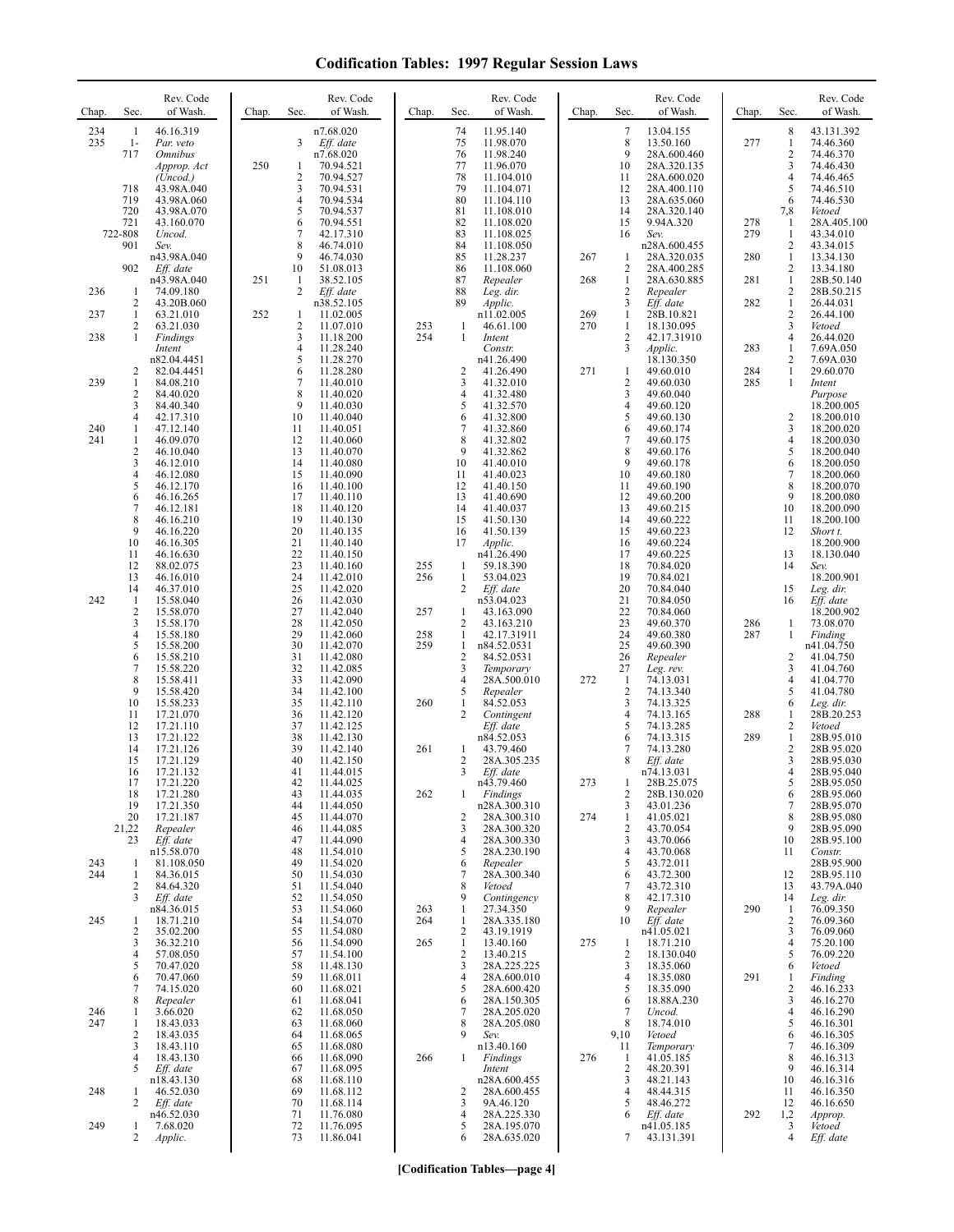| Chap.      | Sec.                                       | Rev. Code<br>of Wash.                                                                    | Chap. | Sec.                                                       | Rev. Code<br>of Wash.                                                                   | Chap.      | Sec.                                           | Rev. Code<br>of Wash.                                                                         | Chap. | Sec.                                       | Rev. Code<br>of Wash.                                                                         | Chap.             | Sec.                                         | Rev. Code<br>of Wash.                                                                  |
|------------|--------------------------------------------|------------------------------------------------------------------------------------------|-------|------------------------------------------------------------|-----------------------------------------------------------------------------------------|------------|------------------------------------------------|-----------------------------------------------------------------------------------------------|-------|--------------------------------------------|-----------------------------------------------------------------------------------------------|-------------------|----------------------------------------------|----------------------------------------------------------------------------------------|
| 234<br>235 | -1<br>$1-$<br>717<br>718                   | 46.16.319<br>Par. veto<br><i><b>Omnibus</b></i><br>Approp. Act<br>(Uncod.)<br>43.98A.040 | 250   | 3<br>1<br>$\overline{2}$<br>3                              | n7.68.020<br>Eff. date<br>n7.68.020<br>70.94.521<br>70.94.527<br>70.94.531              |            | 74<br>75<br>76<br>77<br>78<br>79               | 11.95.140<br>11.98.070<br>11.98.240<br>11.96.070<br>11.104.010<br>11.104.071                  |       | $\overline{7}$<br>8<br>9<br>10<br>11<br>12 | 13.04.155<br>13.50.160<br>28A.600.460<br>28A.320.135<br>28A.600.020<br>28A.400.110            | 277               | 8<br>$\mathbf{1}$<br>2<br>3<br>4<br>5        | 43.131.392<br>74.46.360<br>74.46.370<br>74.46.430<br>74.46.465<br>74.46.510            |
|            | 719<br>720<br>721<br>722-808<br>901<br>902 | 43.98A.060<br>43.98A.070<br>43.160.070<br>Uncod.<br>Sev.<br>n43.98A.040<br>Eff. date     |       | $\overline{4}$<br>5<br>6<br>$\overline{7}$<br>8<br>9<br>10 | 70.94.534<br>70.94.537<br>70.94.551<br>42.17.310<br>46.74.010<br>46.74.030<br>51.08.013 |            | 80<br>81<br>82<br>83<br>84<br>85<br>86         | 11.104.110<br>11.108.010<br>11.108.020<br>11.108.025<br>11.108.050<br>11.28.237<br>11.108.060 | 267   | 13<br>14<br>15<br>16<br>-1<br>2            | 28A.635.060<br>28A.320.140<br>9.94A.320<br>Sev.<br>n28A.600.455<br>28A.320.035<br>28A.400.285 | 278<br>279<br>280 | 6<br>7,8<br>1<br>1<br>2<br>$\mathbf{1}$<br>2 | 74.46.530<br>Vetoed<br>28A.405.100<br>43.34.010<br>43.34.015<br>13.34.130<br>13.34.180 |
| 236        | -1                                         | n43.98A.040<br>74.09.180                                                                 | 251   | -1<br>2                                                    | 38.52.105<br>Eff. date                                                                  |            | 87<br>88                                       | Repealer<br>Leg. dir.                                                                         | 268   | $\mathbf{1}$<br>$\overline{2}$             | 28A.630.885<br>Repealer                                                                       | 281               | $\mathbf{1}$<br>2                            | 28B.50.140<br>28B.50.215                                                               |
| 237        | 2<br>1                                     | 43.20B.060<br>63.21.010                                                                  | 252   | 1                                                          | n38.52.105<br>11.02.005                                                                 |            | 89                                             | Applic.<br>n11.02.005                                                                         | 269   | 3<br>-1                                    | Eff. date<br>28B.10.821                                                                       | 282               | $\mathbf{1}$<br>$\overline{c}$               | 26.44.031<br>26.44.100                                                                 |
| 238        | 2<br>1                                     | 63.21.030<br>Findings                                                                    |       | $\overline{\mathbf{c}}$<br>3                               | 11.07.010<br>11.18.200                                                                  | 253<br>254 | 1<br>$\mathbf{1}$                              | 46.61.100<br>Intent                                                                           | 270   | $\mathbf{1}$<br>$\overline{2}$             | 18.130.095<br>42.17.31910                                                                     |                   | 3<br>4                                       | Vetoed<br>26.44.020                                                                    |
|            |                                            | Intent<br>n82.04.4451                                                                    |       | $\overline{4}$<br>5                                        | 11.28.240<br>11.28.270                                                                  |            |                                                | Constr.<br>n41.26.490                                                                         |       | 3                                          | Applic.<br>18.130.350                                                                         | 283               | $\mathbf{1}$<br>2                            | 7.69A.050<br>7.69A.030                                                                 |
| 239        | 2<br>$\mathbf{1}$                          | 82.04.4451<br>84.08.210                                                                  |       | 6<br>7                                                     | 11.28.280<br>11.40.010                                                                  |            | $\overline{2}$<br>3                            | 41.26.490<br>41.32.010                                                                        | 271   | $\mathbf{1}$<br>$\overline{2}$             | 49.60.010<br>49.60.030                                                                        | 284<br>285        | 1<br>$\mathbf{1}$                            | 29.60.070<br>Intent                                                                    |
|            | 2<br>3                                     | 84.40.020<br>84.40.340                                                                   |       | 8<br>9                                                     | 11.40.020<br>11.40.030                                                                  |            | 4<br>5                                         | 41.32.480<br>41.32.570                                                                        |       | 3<br>$\overline{4}$                        | 49.60.040<br>49.60.120                                                                        |                   |                                              | Purpose<br>18.200.005                                                                  |
| 240<br>241 | 4<br>1<br>$\mathbf{1}$                     | 42.17.310<br>47.12.140                                                                   |       | 10<br>11<br>12                                             | 11.40.040<br>11.40.051                                                                  |            | 6<br>7<br>8                                    | 41.32.800<br>41.32.860                                                                        |       | 5<br>6<br>$\overline{7}$                   | 49.60.130<br>49.60.174                                                                        |                   | 2<br>3<br>4                                  | 18.200.010<br>18.200.020                                                               |
|            | $\sqrt{2}$<br>3                            | 46.09.070<br>46.10.040<br>46.12.010                                                      |       | 13<br>14                                                   | 11.40.060<br>11.40.070<br>11.40.080                                                     |            | 9<br>10                                        | 41.32.802<br>41.32.862<br>41.40.010                                                           |       | 8<br>9                                     | 49.60.175<br>49.60.176<br>49.60.178                                                           |                   | 5<br>6                                       | 18.200.030<br>18.200.040<br>18.200.050                                                 |
|            | $\overline{4}$<br>5                        | 46.12.080<br>46.12.170                                                                   |       | 15<br>16                                                   | 11.40.090<br>11.40.100                                                                  |            | 11<br>12                                       | 41.40.023<br>41.40.150                                                                        |       | 10<br>11                                   | 49.60.180<br>49.60.190                                                                        |                   | 7<br>8                                       | 18.200.060<br>18.200.070                                                               |
|            | 6<br>7                                     | 46.16.265<br>46.12.181                                                                   |       | 17<br>18                                                   | 11.40.110<br>11.40.120                                                                  |            | 13<br>14                                       | 41.40.690<br>41.40.037                                                                        |       | 12<br>13                                   | 49.60.200<br>49.60.215                                                                        |                   | 9<br>10                                      | 18.200.080<br>18.200.090                                                               |
|            | 8<br>9                                     | 46.16.210<br>46.16.220                                                                   |       | 19<br>20                                                   | 11.40.130<br>11.40.135                                                                  |            | 15<br>16                                       | 41.50.130<br>41.50.139                                                                        |       | 14<br>15                                   | 49.60.222<br>49.60.223                                                                        |                   | 11<br>12                                     | 18.200.100<br>Short t.                                                                 |
|            | 10<br>11                                   | 46.16.305<br>46.16.630                                                                   |       | 21<br>22                                                   | 11.40.140<br>11.40.150                                                                  |            | 17                                             | Applic.<br>n41.26.490                                                                         |       | 16<br>17                                   | 49.60.224<br>49.60.225                                                                        |                   | 13                                           | 18.200.900<br>18.130.040                                                               |
|            | 12<br>13                                   | 88.02.075<br>46.16.010                                                                   |       | 23<br>24                                                   | 11.40.160<br>11.42.010                                                                  | 255<br>256 | -1<br>$\mathbf{1}$                             | 59.18.390<br>53.04.023                                                                        |       | 18<br>19                                   | 70.84.020<br>70.84.021                                                                        |                   | 14                                           | Sev.<br>18.200.901                                                                     |
| 242        | 14<br>$\mathbf{1}$                         | 46.37.010<br>15.58.040                                                                   |       | 25<br>26                                                   | 11.42.020<br>11.42.030                                                                  |            | 2                                              | Eff. date<br>n53.04.023                                                                       |       | 20<br>21                                   | 70.84.040<br>70.84.050                                                                        |                   | 15<br>16                                     | Leg. dir.<br>Eff. date                                                                 |
|            | $\overline{c}$<br>3<br>$\overline{4}$      | 15.58.070<br>15.58.170                                                                   |       | 27<br>28<br>29                                             | 11.42.040<br>11.42.050                                                                  | 257        | $\mathbf{1}$<br>2                              | 43.163.090<br>43.163.210                                                                      |       | 22<br>23                                   | 70.84.060<br>49.60.370                                                                        | 286               | 1                                            | 18.200.902<br>73.08.070                                                                |
|            | 5<br>6                                     | 15.58.180<br>15.58.200<br>15.58.210                                                      |       | 30<br>31                                                   | 11.42.060<br>11.42.070<br>11.42.080                                                     | 258<br>259 | $\mathbf{1}$<br>$\mathbf{1}$<br>$\overline{c}$ | 42.17.31911<br>n84.52.0531<br>84.52.0531                                                      |       | 24<br>25<br>26                             | 49.60.380<br>49.60.390<br>Repealer                                                            | 287               | 1<br>2                                       | Finding<br>n41.04.750<br>41.04.750                                                     |
|            | 7<br>8                                     | 15.58.220<br>15.58.411                                                                   |       | 32<br>33                                                   | 11.42.085<br>11.42.090                                                                  |            | 3<br>$\overline{4}$                            | Temporary<br>28A.500.010                                                                      | 272   | 27<br>-1                                   | Leg. rev.<br>74.13.031                                                                        |                   | 3<br>4                                       | 41.04.760<br>41.04.770                                                                 |
|            | 9<br>10                                    | 15.58.420<br>15.58.233                                                                   |       | 34<br>35                                                   | 11.42.100<br>11.42.110                                                                  | 260        | 5<br>1                                         | Repealer<br>84.52.053                                                                         |       | $\overline{2}$<br>3                        | 74.13.340<br>74.13.325                                                                        |                   | 5<br>6                                       | 41.04.780<br>Leg. dir.                                                                 |
|            | 11<br>12                                   | 17.21.070<br>17.21.110                                                                   |       | 36<br>37                                                   | 11.42.120<br>11.42.125                                                                  |            | 2                                              | Contingent<br>Eff. date                                                                       |       | $\overline{4}$<br>5                        | 74.13.165<br>74.13.285                                                                        | 288               | 1<br>2                                       | 28B.20.253<br>Vetoed                                                                   |
|            | 13<br>14                                   | 17.21.122<br>17.21.126                                                                   |       | 38<br>39                                                   | 11.42.130<br>11.42.140                                                                  | 261        | 1                                              | n84.52.053<br>43.79.460                                                                       |       | 6<br>7                                     | 74.13.315<br>74.13.280                                                                        | 289               | $\mathbf{1}$<br>2                            | 28B.95.010<br>28B.95.020                                                               |
|            | 15<br>16                                   | 17.21.129<br>17.21.132                                                                   |       | 40<br>41                                                   | 11.42.150<br>11.44.015                                                                  |            | $\overline{2}$<br>3                            | 28A.305.235<br>Eff. date                                                                      |       | 8                                          | Eff. date<br>n74.13.031                                                                       |                   | 3<br>4                                       | 28B.95.030<br>28B.95.040                                                               |
|            | 17<br>18                                   | 17.21.220<br>17.21.280                                                                   |       | 42<br>43                                                   | 11.44.025<br>11.44.035                                                                  | 262        | 1                                              | n43.79.460<br><b>Findings</b>                                                                 | 273   | $\overline{2}$                             | 28B.25.075<br>28B.130.020                                                                     |                   | 5<br>6                                       | 28B.95.050<br>28B.95.060                                                               |
|            | 19<br>20                                   | 17.21.350<br>17.21.187                                                                   |       | 44<br>45                                                   | 11.44.050<br>11.44.070                                                                  |            | 2                                              | n28A.300.310<br>28A.300.310                                                                   | 274   | 3<br>-1                                    | 43.01.236<br>41.05.021                                                                        |                   | 7<br>8                                       | 28B.95.070<br>28B.95.080                                                               |
|            | 21,22<br>23                                | Repealer<br>Eff. date                                                                    |       | 46<br>47                                                   | 11.44.085<br>11.44.090                                                                  |            | 3<br>$\overline{4}$                            | 28A.300.320<br>28A.300.330                                                                    |       | $\overline{2}$<br>3                        | 43.70.054<br>43.70.066<br>43.70.068                                                           |                   | 9<br>10                                      | 28B.95.090<br>28B.95.100                                                               |
| 243<br>244 | -1<br>1                                    | n15.58.070<br>81.108.050<br>84.36.015                                                    |       | 48<br>49<br>50                                             | 11.54.010<br>11.54.020<br>11.54.030                                                     |            | 5<br>6<br>7                                    | 28A.230.190<br>Repealer<br>28A.300.340                                                        |       | 4<br>5<br>6                                | 43.72.011<br>43.72.300                                                                        |                   | 11<br>12                                     | Constr.<br>28B.95.900<br>28B.95.110                                                    |
|            | 2<br>3                                     | 84.64.320<br>Eff. date                                                                   |       | 51<br>52                                                   | 11.54.040<br>11.54.050                                                                  |            | 8<br>9                                         | Vetoed<br>Contingency                                                                         |       | 7<br>8                                     | 43.72.310<br>42.17.310                                                                        |                   | 13<br>14                                     | 43.79A.040<br>Leg. dir.                                                                |
| 245        | -1                                         | n84.36.015<br>18.71.210                                                                  |       | 53<br>54                                                   | 11.54.060<br>11.54.070                                                                  | 263<br>264 | 1<br>$\mathbf{1}$                              | 27.34.350<br>28A.335.180                                                                      |       | 9<br>10                                    | Repealer<br>Eff. date                                                                         | 290               | -1<br>$\overline{2}$                         | 76.09.350<br>76.09.360                                                                 |
|            | 2<br>3                                     | 35.02.200<br>36.32.210                                                                   |       | 55<br>56                                                   | 11.54.080<br>11.54.090                                                                  | 265        | 2<br>$\mathbf{1}$                              | 43.19.1919<br>13.40.160                                                                       | 275   | -1                                         | n41.05.021<br>18.71.210                                                                       |                   | 3<br>4                                       | 76.09.060<br>75.20.100                                                                 |
|            | 4<br>5                                     | 57.08.050<br>70.47.020                                                                   |       | 57<br>58                                                   | 11.54.100<br>11.48.130                                                                  |            | $\overline{c}$<br>3                            | 13.40.215<br>28A.225.225                                                                      |       | $\overline{2}$<br>3                        | 18.130.040<br>18.35.060                                                                       |                   | 5<br>6                                       | 76.09.220<br>Vetoed                                                                    |
|            | 6<br>7                                     | 70.47.060<br>74.15.020                                                                   |       | 59<br>60                                                   | 11.68.011<br>11.68.021                                                                  |            | 4<br>5                                         | 28A.600.010<br>28A.600.420                                                                    |       | $\overline{4}$<br>5                        | 18.35.080<br>18.35.090                                                                        | 291               | 1<br>2                                       | Finding<br>46.16.233                                                                   |
| 246        | 8<br>$\mathbf{1}$                          | Repealer<br>3.66.020                                                                     |       | 61<br>62                                                   | 11.68.041<br>11.68.050                                                                  |            | 6<br>7                                         | 28A.150.305<br>28A.205.020                                                                    |       | 6<br>$\overline{7}$                        | 18.88A.230<br>Uncod.                                                                          |                   | 3<br>4                                       | 46.16.270<br>46.16.290                                                                 |
| 247        | -1<br>$\overline{c}$                       | 18.43.033<br>18.43.035                                                                   |       | 63<br>64                                                   | 11.68.060<br>11.68.065                                                                  |            | 8<br>9                                         | 28A.205.080<br>Sev.                                                                           |       | 8<br>9,10                                  | 18.74.010<br>Vetoed                                                                           |                   | 5<br>6                                       | 46.16.301<br>46.16.305                                                                 |
|            | 3<br>$\overline{4}$                        | 18.43.110<br>18.43.130                                                                   |       | 65<br>66                                                   | 11.68.080<br>11.68.090                                                                  | 266        | $\mathbf{1}$                                   | n13.40.160<br>Findings                                                                        | 276   | 11<br>-1                                   | Temporary<br>41.05.185                                                                        |                   | 7<br>8                                       | 46.16.309<br>46.16.313                                                                 |
|            | 5                                          | Eff. date<br>n18.43.130                                                                  |       | 67<br>68                                                   | 11.68.095<br>11.68.110                                                                  |            |                                                | Intent<br>n28A.600.455                                                                        |       | $\overline{2}$<br>3                        | 48.20.391<br>48.21.143                                                                        |                   | 9<br>10                                      | 46.16.314<br>46.16.316                                                                 |
| 248        | -1<br>2                                    | 46.52.030<br>Eff. date                                                                   |       | 69<br>70                                                   | 11.68.112<br>11.68.114                                                                  |            | 2<br>3                                         | 28A.600.455<br>9A.46.120                                                                      |       | $\overline{4}$<br>5                        | 48.44.315<br>48.46.272                                                                        |                   | 11<br>12                                     | 46.16.350<br>46.16.650                                                                 |
| 249        | -1<br>2                                    | n46.52.030<br>7.68.020                                                                   |       | 71<br>72<br>73                                             | 11.76.080<br>11.76.095<br>11.86.041                                                     |            | 4<br>5<br>6                                    | 28A.225.330<br>28A.195.070<br>28A.635.020                                                     |       | 6<br>7                                     | Eff. date<br>n41.05.185<br>43.131.391                                                         | 292               | 1,2<br>3<br>4                                | Approp.<br>Vetoed<br>Eff. date                                                         |
|            |                                            | Applic.                                                                                  |       |                                                            |                                                                                         |            |                                                |                                                                                               |       |                                            |                                                                                               |                   |                                              |                                                                                        |

**[Codification Tables—page 4]**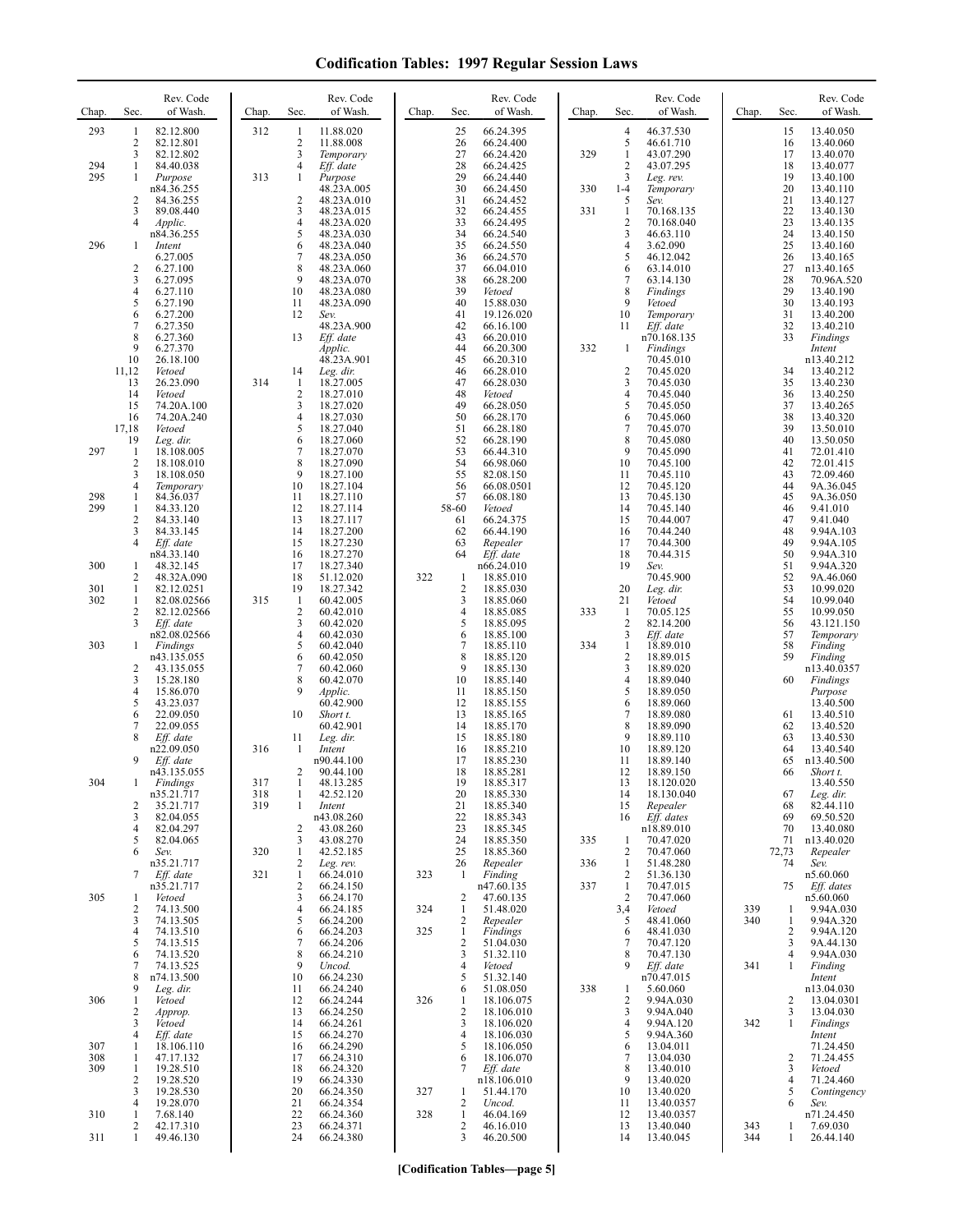| Chap. | Sec.                  | Rev. Code<br>of Wash.    | Chap. | Sec.                | Rev. Code<br>of Wash.    | Chap. | Sec.                | Rev. Code<br>of Wash.        | Chap. | Sec.                           | Rev. Code<br>of Wash.     | Chap.      | Sec.        | Rev. Code<br>of Wash.   |
|-------|-----------------------|--------------------------|-------|---------------------|--------------------------|-------|---------------------|------------------------------|-------|--------------------------------|---------------------------|------------|-------------|-------------------------|
| 293   | 1                     | 82.12.800                | 312   | -1                  | 11.88.020                |       | 25                  | 66.24.395                    |       | 4                              | 46.37.530                 |            | 15          | 13.40.050               |
|       | 2<br>3                | 82.12.801<br>82.12.802   |       | 2<br>3              | 11.88.008<br>Temporary   |       | 26<br>27            | 66.24.400<br>66.24.420       | 329   | 5<br>$\mathbf{1}$              | 46.61.710<br>43.07.290    |            | 16<br>17    | 13.40.060<br>13.40.070  |
| 294   | 1                     | 84.40.038                |       | 4                   | Eff. date                |       | 28                  | 66.24.425                    |       | $\overline{c}$                 | 43.07.295                 |            | 18          | 13.40.077               |
| 295   | 1                     | Purpose<br>n84.36.255    | 313   | 1                   | Purpose<br>48.23A.005    |       | 29<br>30            | 66.24.440<br>66.24.450       | 330   | 3<br>$1 - 4$                   | Leg. rev.<br>Temporary    |            | 19<br>20    | 13.40.100<br>13.40.110  |
|       | 2                     | 84.36.255                |       | 2                   | 48.23A.010               |       | 31                  | 66.24.452                    |       | 5                              | Sev.                      |            | 21          | 13.40.127               |
|       | 3<br>4                | 89.08.440<br>Applic.     |       | 3<br>4              | 48.23A.015<br>48.23A.020 |       | 32<br>33            | 66.24.455<br>66.24.495       | 331   | $\mathbf{1}$<br>$\overline{c}$ | 70.168.135<br>70.168.040  |            | 22<br>23    | 13.40.130<br>13.40.135  |
|       |                       | n84.36.255               |       | 5                   | 48.23A.030               |       | 34                  | 66.24.540                    |       | 3                              | 46.63.110                 |            | 24          | 13.40.150               |
| 296   | 1                     | Intent<br>6.27.005       |       | 6<br>7              | 48.23A.040<br>48.23A.050 |       | 35<br>36            | 66.24.550<br>66.24.570       |       | 4<br>5                         | 3.62.090<br>46.12.042     |            | 25<br>26    | 13.40.160<br>13.40.165  |
|       | $\overline{c}$        | 6.27.100                 |       | 8                   | 48.23A.060               |       | 37                  | 66.04.010                    |       | 6                              | 63.14.010                 |            | 27          | n13.40.165              |
|       | 3<br>4                | 6.27.095<br>6.27.110     |       | 9<br>10             | 48.23A.070<br>48.23A.080 |       | 38<br>39            | 66.28.200<br>Vetoed          |       | 7<br>8                         | 63.14.130<br>Findings     |            | 28<br>29    | 70.96A.520<br>13.40.190 |
|       | 5                     | 6.27.190                 |       | 11                  | 48.23A.090               |       | 40                  | 15.88.030                    |       | 9                              | Vetoed                    |            | 30          | 13.40.193               |
|       | 6<br>$\boldsymbol{7}$ | 6.27.200<br>6.27.350     |       | 12                  | Sev.<br>48.23A.900       |       | 41<br>42            | 19.126.020<br>66.16.100      |       | 10<br>11                       | Temporary<br>Eff. date    |            | 31<br>32    | 13.40.200<br>13.40.210  |
|       | 8                     | 6.27.360                 |       | 13                  | Eff. date                |       | 43                  | 66.20.010                    |       |                                | n70.168.135               |            | 33          | Findings                |
|       | 9<br>10               | 6.27.370<br>26.18.100    |       |                     | Applic.<br>48.23A.901    |       | 44<br>45            | 66.20.300<br>66.20.310       | 332   | $\mathbf{1}$                   | Findings<br>70.45.010     |            |             | Intent<br>n13.40.212    |
|       | 11,12                 | Vetoed                   |       | 14                  | Leg. dir.                |       | 46                  | 66.28.010                    |       | $\overline{2}$                 | 70.45.020                 |            | 34          | 13.40.212               |
|       | 13<br>14              | 26.23.090<br>Vetoed      | 314   | -1<br>2             | 18.27.005<br>18.27.010   |       | 47<br>48            | 66.28.030<br>Vetoed          |       | 3<br>4                         | 70.45.030<br>70.45.040    |            | 35<br>36    | 13.40.230<br>13.40.250  |
|       | 15                    | 74.20A.100               |       | 3                   | 18.27.020                |       | 49                  | 66.28.050                    |       | 5                              | 70.45.050                 |            | 37          | 13.40.265               |
|       | 16<br>17,18           | 74.20A.240<br>Vetoed     |       | 4<br>5              | 18.27.030<br>18.27.040   |       | 50<br>51            | 66.28.170<br>66.28.180       |       | 6<br>$\boldsymbol{7}$          | 70.45.060<br>70.45.070    |            | 38<br>39    | 13.40.320<br>13.50.010  |
| 297   | 19<br>1               | Leg. dir.<br>18.108.005  |       | 6<br>7              | 18.27.060<br>18.27.070   |       | 52<br>53            | 66.28.190<br>66.44.310       |       | 8<br>9                         | 70.45.080<br>70.45.090    |            | 40<br>41    | 13.50.050<br>72.01.410  |
|       | $\overline{c}$        | 18.108.010               |       | 8                   | 18.27.090                |       | 54                  | 66.98.060                    |       | 10                             | 70.45.100                 |            | 42          | 72.01.415               |
|       | 3<br>$\overline{4}$   | 18.108.050<br>Temporary  |       | 9<br>10             | 18.27.100<br>18.27.104   |       | 55<br>56            | 82.08.150<br>66.08.0501      |       | 11<br>12                       | 70.45.110<br>70.45.120    |            | 43<br>44    | 72.09.460<br>9A.36.045  |
| 298   | $\mathbf{1}$          | 84.36.037                |       | 11                  | 18.27.110                |       | 57                  | 66.08.180                    |       | 13                             | 70.45.130                 |            | 45          | 9A.36.050               |
| 299   | 1<br>$\overline{c}$   | 84.33.120<br>84.33.140   |       | 12<br>13            | 18.27.114<br>18.27.117   |       | 58-60<br>61         | Vetoed<br>66.24.375          |       | 14<br>15                       | 70.45.140<br>70.44.007    |            | 46<br>47    | 9.41.010<br>9.41.040    |
|       | 3                     | 84.33.145                |       | 14                  | 18.27.200                |       | 62                  | 66.44.190                    |       | 16                             | 70.44.240                 |            | 48          | 9.94A.103               |
|       | 4                     | Eff. date<br>n84.33.140  |       | 15<br>16            | 18.27.230<br>18.27.270   |       | 63<br>64            | Repealer<br>Eff. date        |       | 17<br>18                       | 70.44.300<br>70.44.315    |            | 49<br>50    | 9.94A.105<br>9.94A.310  |
| 300   | 1                     | 48.32.145                |       | 17                  | 18.27.340                |       |                     | n66.24.010                   |       | 19                             | Sev.                      |            | 51          | 9.94A.320               |
| 301   | 2<br>1                | 48.32A.090<br>82.12.0251 |       | 18<br>19            | 51.12.020<br>18.27.342   | 322   | -1<br>$\sqrt{2}$    | 18.85.010<br>18.85.030       |       | 20                             | 70.45.900<br>Leg. dir.    |            | 52<br>53    | 9A.46.060<br>10.99.020  |
| 302   | 1                     | 82.08.02566              | 315   | -1                  | 60.42.005                |       | 3                   | 18.85.060                    |       | 21                             | Vetoed                    |            | 54          | 10.99.040               |
|       | 2<br>3                | 82.12.02566<br>Eff. date |       | 2<br>3              | 60.42.010<br>60.42.020   |       | $\overline{4}$<br>5 | 18.85.085<br>18.85.095       | 333   | -1<br>$\overline{2}$           | 70.05.125<br>82.14.200    |            | 55<br>56    | 10.99.050<br>43.121.150 |
|       |                       | n82.08.02566             |       | 4                   | 60.42.030                |       | 6                   | 18.85.100                    |       | 3                              | $Eff.$ date               |            | 57          | Temporary               |
| 303   | 1                     | Findings<br>n43.135.055  |       | 5<br>6              | 60.42.040<br>60.42.050   |       | 7<br>8              | 18.85.110<br>18.85.120       | 334   | 1<br>$\overline{2}$            | 18.89.010<br>18.89.015    |            | 58<br>59    | Finding<br>Finding      |
|       | 2                     | 43.135.055               |       | 7<br>8              | 60.42.060                |       | 9<br>10             | 18.85.130                    |       | 3                              | 18.89.020                 |            | 60          | n13.40.0357             |
|       | 3<br>4                | 15.28.180<br>15.86.070   |       | 9                   | 60.42.070<br>Applic.     |       | 11                  | 18.85.140<br>18.85.150       |       | 4<br>5                         | 18.89.040<br>18.89.050    |            |             | Findings<br>Purpose     |
|       | 5<br>6                | 43.23.037<br>22.09.050   |       | 10                  | 60.42.900<br>Short t.    |       | 12<br>13            | 18.85.155<br>18.85.165       |       | 6<br>7                         | 18.89.060<br>18.89.080    |            | 61          | 13.40.500<br>13.40.510  |
|       | 7                     | 22.09.055                |       |                     | 60.42.901                |       | 14                  | 18.85.170                    |       | 8                              | 18.89.090                 |            | 62          | 13.40.520               |
|       | 8                     | Eff. date<br>n22.09.050  | 316   | 11<br>1             | Leg. dir.<br>Intent      |       | 15<br>16            | 18.85.180<br>18.85.210       |       | 9<br>10                        | 18.89.110<br>18.89.120    |            | 63<br>64    | 13.40.530<br>13.40.540  |
|       | 9                     | Eff. date                |       |                     | n90.44.100               |       | 17                  | 18.85.230                    |       | 11                             | 18.89.140                 |            | 65          | n13.40.500              |
| 304   |                       | n43.135.055<br>Findings  | 317   | 2                   | 90.44.100<br>48.13.285   |       | 18<br>19            | 18.85.281<br>18.85.317       |       | 12<br>13                       | 18.89.150<br>18.120.020   |            | 66          | Short t.<br>13.40.550   |
|       |                       | n35.21.717               | 318   | 1                   | 42.52.120                |       | 20                  | 18.85.330                    |       | 14                             | 18.130.040                |            | 67          | Leg. dir.               |
|       | 2<br>3                | 35.21.717<br>82.04.055   | 319   | 1                   | Intent<br>n43.08.260     |       | 21<br>22            | 18.85.340<br>18.85.343       |       | 15<br>16                       | Repealer<br>Eff. dates    |            | 68<br>69    | 82.44.110<br>69.50.520  |
|       | 4                     | 82.04.297                |       | 2                   | 43.08.260                |       | 23                  | 18.85.345                    |       |                                | n18.89.010                |            | 70          | 13.40.080               |
|       | 5<br>6                | 82.04.065<br>Sev.        | 320   | 3<br>1              | 43.08.270<br>42.52.185   |       | 24<br>25            | 18.85.350<br>18.85.360       | 335   | -1<br>2                        | 70.47.020<br>70.47.060    |            | 71<br>72,73 | n13.40.020<br>Repealer  |
|       | 7                     | n35.21.717               |       | 2                   | Leg. rev.                |       | 26<br>-1            | Repealer                     | 336   | 1                              | 51.48.280                 |            | 74          | Sev.                    |
|       |                       | Eff. date<br>n35.21.717  | 321   | $\mathbf{1}$<br>2   | 66.24.010<br>66.24.150   | 323   |                     | Finding<br>n47.60.135        | 337   | 2<br>$\mathbf{1}$              | 51.36.130<br>70.47.015    |            | 75          | n5.60.060<br>Eff. dates |
| 305   | 1<br>2                | Vetoed<br>74.13.500      |       | 3<br>$\overline{4}$ | 66.24.170<br>66.24.185   | 324   | 2<br>1              | 47.60.135<br>51.48.020       |       | 2                              | 70.47.060<br>Vetoed       | 339        | 1           | n5.60.060<br>9.94A.030  |
|       | 3                     | 74.13.505                |       | 5                   | 66.24.200                |       | 2                   | Repealer                     |       | 3,4<br>5                       | 48.41.060                 | 340        | 1           | 9.94A.320               |
|       | 4<br>5                | 74.13.510<br>74.13.515   |       | 6<br>7              | 66.24.203<br>66.24.206   | 325   | 1<br>2              | <b>Findings</b><br>51.04.030 |       | 6<br>7                         | 48.41.030<br>70.47.120    |            | 2<br>3      | 9.94A.120<br>9A.44.130  |
|       | 6                     | 74.13.520                |       | 8                   | 66.24.210                |       | 3                   | 51.32.110                    |       | 8                              | 70.47.130                 |            | 4           | 9.94A.030               |
|       | 7<br>8                | 74.13.525<br>n74.13.500  |       | 9<br>10             | Uncod.<br>66.24.230      |       | $\overline{4}$<br>5 | Vetoed<br>51.32.140          |       | 9                              | $Eff.$ date<br>n70.47.015 | 341        | 1           | Finding<br>Intent       |
|       | 9                     | Leg. dir.                |       | 11                  | 66.24.240                |       | 6                   | 51.08.050                    | 338   | 1                              | 5.60.060                  |            |             | n13.04.030              |
| 306   | 1<br>2                | Vetoed<br>Approp.        |       | 12<br>13            | 66.24.244<br>66.24.250   | 326   | 1<br>2              | 18.106.075<br>18.106.010     |       | 2<br>3                         | 9.94A.030<br>9.94A.040    |            | 2<br>3      | 13.04.0301<br>13.04.030 |
|       | 3                     | Vetoed                   |       | 14                  | 66.24.261                |       | 3                   | 18.106.020                   |       | 4                              | 9.94A.120                 | 342        | 1           | Findings                |
| 307   | 4<br>1                | Eff. date<br>18.106.110  |       | 15<br>16            | 66.24.270<br>66.24.290   |       | $\overline{4}$<br>5 | 18.106.030<br>18.106.050     |       | 5<br>6                         | 9.94A.360<br>13.04.011    |            |             | Intent<br>71.24.450     |
| 308   | 1                     | 47.17.132                |       | 17                  | 66.24.310                |       | 6                   | 18.106.070                   |       | 7                              | 13.04.030                 |            | 2           | 71.24.455               |
| 309   | 1<br>2                | 19.28.510<br>19.28.520   |       | 18<br>19            | 66.24.320<br>66.24.330   |       | 7                   | Eff. date<br>n18.106.010     |       | 8<br>9                         | 13.40.010<br>13.40.020    |            | 3<br>4      | Vetoed<br>71.24.460     |
|       | 3                     | 19.28.530                |       | 20                  | 66.24.350                | 327   | -1                  | 51.44.170                    |       | 10                             | 13.40.020                 |            | 5           | Contingency             |
| 310   | 4<br>1                | 19.28.070<br>7.68.140    |       | 21<br>22            | 66.24.354<br>66.24.360   | 328   | 2<br>$\mathbf{1}$   | Uncod.<br>46.04.169          |       | 11<br>12                       | 13.40.0357<br>13.40.0357  |            | 6           | Sev.<br>n71.24.450      |
| 311   | 2<br>1                | 42.17.310                |       | 23<br>24            | 66.24.371                |       | 2<br>3              | 46.16.010<br>46.20.500       |       | 13<br>14                       | 13.40.040<br>13.40.045    | 343<br>344 | 1<br>1      | 7.69.030<br>26.44.140   |
|       |                       | 49.46.130                |       |                     | 66.24.380                |       |                     |                              |       |                                |                           |            |             |                         |

**[Codification Tables—page 5]**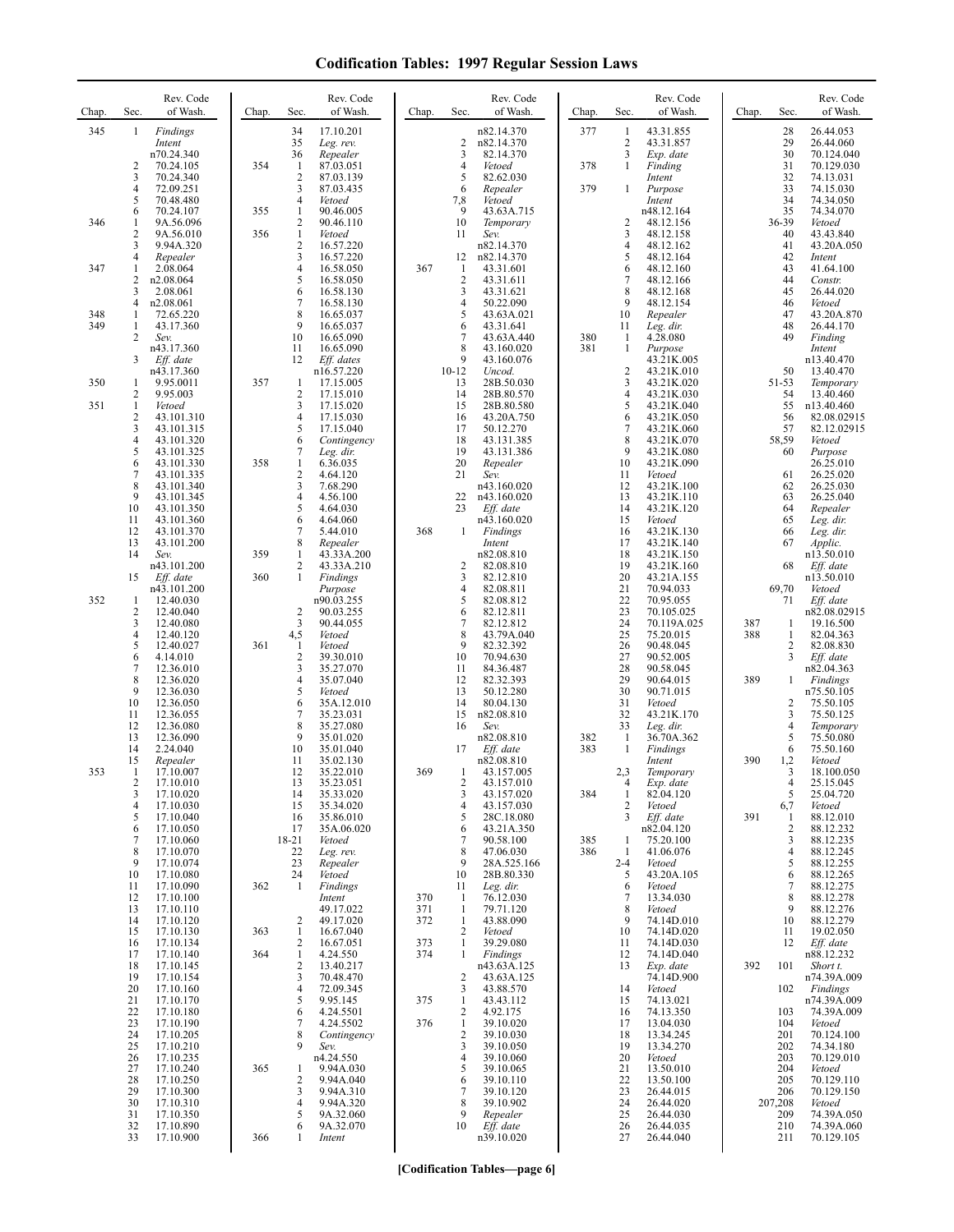| Chap. | Sec.                | Rev. Code<br>of Wash.    | Chap. | Sec.                | Rev. Code<br>of Wash.    | Chap.      | Sec.                           | Rev. Code<br>of Wash.      | Chap.      | Sec.                | Rev. Code<br>of Wash.    | Chap.      | Sec.           | Rev. Code<br>of Wash.     |
|-------|---------------------|--------------------------|-------|---------------------|--------------------------|------------|--------------------------------|----------------------------|------------|---------------------|--------------------------|------------|----------------|---------------------------|
| 345   | 1                   | Findings                 |       | 34                  | 17.10.201                |            |                                | n82.14.370                 | 377        | 1                   | 43.31.855                |            | 28             | 26.44.053                 |
|       |                     | Intent<br>n70.24.340     |       | 35<br>36            | Leg. rev.<br>Repealer    |            | 2<br>3                         | n82.14.370<br>82.14.370    |            | 2<br>3              | 43.31.857<br>Exp. date   |            | 29<br>30       | 26.44.060<br>70.124.040   |
|       | 2                   | 70.24.105                | 354   | 1                   | 87.03.051                |            | $\overline{4}$                 | Vetoed                     | 378        | 1                   | Finding                  |            | 31             | 70.129.030                |
|       | 3<br>4              | 70.24.340<br>72.09.251   |       | $\mathbf{2}$<br>3   | 87.03.139<br>87.03.435   |            | 5<br>6                         | 82.62.030<br>Repealer      | 379        | 1                   | Intent<br>Purpose        |            | 32<br>33       | 74.13.031<br>74.15.030    |
|       | 5                   | 70.48.480                |       | $\overline{4}$      | Vetoed                   |            | 7,8                            | Vetoed                     |            |                     | Intent                   |            | 34             | 74.34.050                 |
| 346   | 6<br>1              | 70.24.107<br>9A.56.096   | 355   | 1<br>2              | 90.46.005<br>90.46.110   |            | 9<br>10                        | 43.63A.715<br>Temporary    |            | $\overline{2}$      | n48.12.164<br>48.12.156  |            | 35<br>36-39    | 74.34.070<br>Vetoed       |
|       | $\overline{c}$      | 9A.56.010                | 356   | $\mathbf{1}$        | Vetoed                   |            | 11                             | Sev.                       |            | 3                   | 48.12.158                |            | 40             | 43.43.840                 |
|       | 3<br>4              | 9.94A.320<br>Repealer    |       | 2<br>3              | 16.57.220<br>16.57.220   |            | 12                             | n82.14.370<br>n82.14.370   |            | 4<br>5              | 48.12.162<br>48.12.164   |            | 41<br>42       | 43.20A.050<br>Intent      |
| 347   | 1                   | 2.08.064                 |       | 4                   | 16.58.050                | 367        | 1                              | 43.31.601                  |            | 6                   | 48.12.160                |            | 43             | 41.64.100                 |
|       | $\overline{c}$<br>3 | n2.08.064<br>2.08.061    |       | 5<br>6              | 16.58.050<br>16.58.130   |            | $\sqrt{2}$<br>3                | 43.31.611<br>43.31.621     |            | 7<br>8              | 48.12.166<br>48.12.168   |            | 44<br>45       | Constr.<br>26.44.020      |
| 348   | 4<br>1              | n2.08.061                |       | 7<br>8              | 16.58.130                |            | $\overline{4}$<br>5            | 50.22.090                  |            | 9<br>10             | 48.12.154                |            | 46<br>47       | Vetoed                    |
| 349   | 1                   | 72.65.220<br>43.17.360   |       | 9                   | 16.65.037<br>16.65.037   |            | 6                              | 43.63A.021<br>43.31.641    |            | 11                  | Repealer<br>Leg. dir.    |            | 48             | 43.20A.870<br>26.44.170   |
|       | 2                   | Sev.<br>n43.17.360       |       | 10<br>11            | 16.65.090<br>16.65.090   |            | 7<br>8                         | 43.63A.440<br>43.160.020   | 380<br>381 | -1<br>1             | 4.28.080<br>Purpose      |            | 49             | Finding<br>Intent         |
|       | 3                   | Eff. date                |       | 12                  | Eff. dates               |            | 9                              | 43.160.076                 |            |                     | 43.21K.005               |            |                | n13.40.470                |
| 350   | 1                   | n43.17.360<br>9.95.0011  | 357   | 1                   | n16.57.220<br>17.15.005  |            | $10-12$<br>13                  | Uncod.<br>28B.50.030       |            | $\overline{c}$<br>3 | 43.21K.010<br>43.21K.020 |            | 50<br>51-53    | 13.40.470<br>Temporary    |
|       | 2                   | 9.95.003                 |       | 2                   | 17.15.010                |            | 14                             | 28B.80.570                 |            | 4                   | 43.21K.030               |            | 54             | 13.40.460                 |
| 351   | 1<br>$\overline{c}$ | Vetoed<br>43.101.310     |       | 3<br>4              | 17.15.020<br>17.15.030   |            | 15<br>16                       | 28B.80.580<br>43.20A.750   |            | 5<br>6              | 43.21K.040<br>43.21K.050 |            | 55<br>56       | n13.40.460<br>82.08.02915 |
|       | 3                   | 43.101.315               |       | 5                   | 17.15.040                |            | 17                             | 50.12.270                  |            | 7                   | 43.21K.060               |            | 57             | 82.12.02915               |
|       | 4<br>5              | 43.101.320<br>43.101.325 |       | 6<br>7              | Contingency<br>Leg. dir. |            | 18<br>19                       | 43.131.385<br>43.131.386   |            | 8<br>9              | 43.21K.070<br>43.21K.080 |            | 58,59<br>60    | Vetoed<br>Purpose         |
|       | 6                   | 43.101.330               | 358   | $\mathbf{1}$        | 6.36.035<br>4.64.120     |            | 20                             | Repealer                   |            | 10                  | 43.21K.090               |            |                | 26.25.010                 |
|       | 7<br>8              | 43.101.335<br>43.101.340 |       | 2<br>3              | 7.68.290                 |            | 21                             | Sev.<br>n43.160.020        |            | 11<br>12            | Vetoed<br>43.21K.100     |            | 61<br>62       | 26.25.020<br>26.25.030    |
|       | 9<br>10             | 43.101.345<br>43.101.350 |       | 4<br>5              | 4.56.100<br>4.64.030     |            | 22<br>23                       | n43.160.020<br>Eff. date   |            | 13<br>14            | 43.21K.110<br>43.21K.120 |            | 63<br>64       | 26.25.040<br>Repealer     |
|       | 11                  | 43.101.360               |       | 6                   | 4.64.060                 |            |                                | n43.160.020                |            | 15                  | Vetoed                   |            | 65             | Leg. dir.                 |
|       | 12<br>13            | 43.101.370<br>43.101.200 |       | 7<br>8              | 5.44.010<br>Repealer     | 368        | 1                              | Findings<br>Intent         |            | 16<br>17            | 43.21K.130<br>43.21K.140 |            | 66<br>67       | Leg. dir.<br>Applic.      |
|       | 14                  | Sev.                     | 359   | 1                   | 43.33A.200               |            |                                | n82.08.810                 |            | 18                  | 43.21K.150               |            |                | n13.50.010                |
|       | 15                  | n43.101.200<br>Eff. date | 360   | 2<br>1              | 43.33A.210<br>Findings   |            | 2<br>3                         | 82.08.810<br>82.12.810     |            | 19<br>20            | 43.21K.160<br>43.21A.155 |            | 68             | Eff. date<br>n13.50.010   |
|       |                     | n43.101.200              |       |                     | Purpose                  |            | $\overline{4}$                 | 82.08.811                  |            | 21                  | 70.94.033                |            | 69,70          | Vetoed                    |
| 352   | 1<br>$\overline{c}$ | 12.40.030<br>12.40.040   |       | 2                   | n90.03.255<br>90.03.255  |            | 5<br>6                         | 82.08.812<br>82.12.811     |            | 22<br>23            | 70.95.055<br>70.105.025  |            | 71             | Eff. date<br>n82.08.02915 |
|       | 3<br>4              | 12.40.080<br>12.40.120   |       | 3<br>4,5            | 90.44.055<br>Vetoed      |            | 7<br>8                         | 82.12.812<br>43.79A.040    |            | 24<br>25            | 70.119A.025<br>75.20.015 | 387<br>388 | 1<br>1         | 19.16.500<br>82.04.363    |
|       | 5                   | 12.40.027                | 361   | 1                   | Vetoed                   |            | 9                              | 82.32.392                  |            | 26                  | 90.48.045                |            | 2              | 82.08.830                 |
|       | 6<br>$\overline{7}$ | 4.14.010<br>12.36.010    |       | 2<br>3              | 39.30.010<br>35.27.070   |            | 10<br>11                       | 70.94.630<br>84.36.487     |            | 27<br>28            | 90.52.005<br>90.58.045   |            | 3              | Eff. date<br>n82.04.363   |
|       | 8<br>9              | 12.36.020                |       | 4<br>5              | 35.07.040                |            | 12<br>13                       | 82.32.393                  |            | 29<br>30            | 90.64.015<br>90.71.015   | 389        | -1             | Findings                  |
|       | 10                  | 12.36.030<br>12.36.050   |       | 6                   | Vetoed<br>35A.12.010     |            | 14                             | 50.12.280<br>80.04.130     |            | 31                  | Vetoed                   |            | 2              | n75.50.105<br>75.50.105   |
|       | 11<br>12            | 12.36.055<br>12.36.080   |       | 7<br>8              | 35.23.031<br>35.27.080   |            | 15<br>16                       | n82.08.810<br>Sev.         |            | 32<br>33            | 43.21K.170<br>Leg. dir.  |            | 3<br>4         | 75.50.125<br>Temporary    |
|       | 13                  | 12.36.090                |       | 9                   | 35.01.020                |            |                                | n82.08.810                 | 382        | $\mathbf{1}$        | 36.70A.362               |            | 5              | 75.50.080                 |
|       | 14<br>15            | 2.24.040<br>Repealer     |       | 10<br>11            | 35.01.040<br>35.02.130   |            | 17                             | Eff. date<br>n82.08.810    | 383        | -1                  | Findings<br>Intent       | 390        | 6<br>1,2       | 75.50.160<br>Vetoed       |
| 353   | -1                  | 17.10.007                |       | 12                  | 35.22.010                | 369        | 1                              | 43.157.005                 |            | 2,3                 | Temporary                |            | 3              | 18.100.050                |
|       | 2<br>3              | 17.10.010<br>17.10.020   |       | 13<br>14            | 35.23.051<br>35.33.020   |            | 2<br>3                         | 43.157.010<br>43.157.020   | 384        | $\mathbf{1}$        | Exp. date<br>82.04.120   |            | 5              | 25.15.045<br>25.04.720    |
|       | 4                   | 17.10.030                |       | 15                  | 35.34.020                |            | $\overline{4}$                 | 43.157.030                 |            | 2                   | Vetoed                   |            | 6,7            | Vetoed                    |
|       | 5<br>6              | 17.10.040<br>17.10.050   |       | 16<br>17            | 35.86.010<br>35A.06.020  |            | 5<br>6                         | 28C.18.080<br>43.21A.350   |            | 3                   | Eff. date<br>n82.04.120  | 391        | -1<br>2        | 88.12.010<br>88.12.232    |
|       | 7<br>8              | 17.10.060<br>17.10.070   |       | 18-21<br>22         | Vetoed<br>Leg. rev.      |            | 7<br>$\,$ 8 $\,$               | 90.58.100<br>47.06.030     | 385<br>386 | -1<br>1             | 75.20.100<br>41.06.076   |            | 3<br>4         | 88.12.235<br>88.12.245    |
|       | 9                   | 17.10.074                |       | 23                  | Repealer                 |            | 9                              | 28A.525.166                |            | $2 - 4$             | Vetoed                   |            | 5              | 88.12.255                 |
|       | 10<br>11            | 17.10.080<br>17.10.090   | 362   | 24<br>1             | Vetoed<br>Findings       |            | 10<br>11                       | 28B.80.330<br>Leg. dir.    |            | 5<br>6              | 43.20A.105<br>Vetoed     |            | 6<br>7         | 88.12.265<br>88.12.275    |
|       | 12                  | 17.10.100                |       |                     | Intent                   | 370        | -1                             | 76.12.030                  |            | 7                   | 13.34.030                |            | 8              | 88.12.278                 |
|       | 13<br>14            | 17.10.110<br>17.10.120   |       | 2                   | 49.17.022<br>49.17.020   | 371<br>372 | $\mathbf{1}$<br>$\mathbf{1}$   | 79.71.120<br>43.88.090     |            | 8<br>9              | Vetoed<br>74.14D.010     |            | 9<br>10        | 88.12.276<br>88.12.279    |
|       | 15<br>16            | 17.10.130<br>17.10.134   | 363   | 1<br>2              | 16.67.040<br>16.67.051   | 373        | 2<br>$\mathbf{1}$              | Vetoed<br>39.29.080        |            | 10<br>11            | 74.14D.020<br>74.14D.030 |            | 11<br>12       | 19.02.050<br>Eff. date    |
|       | 17                  | 17.10.140                | 364   | $\mathbf{1}$        | 4.24.550                 | 374        | $\mathbf{1}$                   | Findings                   |            | 12                  | 74.14D.040               |            |                | n88.12.232                |
|       | 18<br>19            | 17.10.145<br>17.10.154   |       | $\overline{c}$<br>3 | 13.40.217<br>70.48.470   |            | $\overline{2}$                 | n43.63A.125<br>43.63A.125  |            | 13                  | Exp. date<br>74.14D.900  | 392        | 101            | Short t.<br>n74.39A.009   |
|       | 20                  | 17.10.160                |       | 4                   | 72.09.345                |            | $\mathbf{3}$                   | 43.88.570                  |            | 14                  | Vetoed                   |            | 102            | Findings                  |
|       | 21<br>22            | 17.10.170<br>17.10.180   |       | 5<br>6              | 9.95.145<br>4.24.5501    | 375        | $\mathbf{1}$<br>$\overline{c}$ | 43.43.112<br>4.92.175      |            | 15<br>16            | 74.13.021<br>74.13.350   |            | 103            | n74.39A.009<br>74.39A.009 |
|       | 23                  | 17.10.190                |       | 7                   | 4.24.5502                | 376        | $\mathbf{1}$                   | 39.10.020                  |            | 17                  | 13.04.030                |            | 104            | Vetoed                    |
|       | 24<br>25            | 17.10.205<br>17.10.210   |       | 8<br>9              | Contingency<br>Sev.      |            | $\overline{c}$<br>3            | 39.10.030<br>39.10.050     |            | 18<br>19            | 13.34.245<br>13.34.270   |            | 201<br>202     | 70.124.100<br>74.34.180   |
|       | 26<br>27            | 17.10.235<br>17.10.240   | 365   |                     | n4.24.550<br>9.94A.030   |            | $\overline{4}$<br>5            | 39.10.060<br>39.10.065     |            | 20<br>21            | Vetoed<br>13.50.010      |            | 203<br>204     | 70.129.010                |
|       | 28                  | 17.10.250                |       | 1<br>2              | 9.94A.040                |            | 6                              | 39.10.110                  |            | 22                  | 13.50.100                |            | 205            | Vetoed<br>70.129.110      |
|       | 29<br>30            | 17.10.300<br>17.10.310   |       | 3<br>4              | 9.94A.310<br>9.94A.320   |            | $\tau$<br>8                    | 39.10.120<br>39.10.902     |            | 23<br>24            | 26.44.015<br>26.44.020   |            | 206<br>207,208 | 70.129.150<br>Vetoed      |
|       | 31                  | 17.10.350                |       | 5                   | 9A.32.060                |            | 9                              | Repealer                   |            | 25                  | 26.44.030                |            | 209            | 74.39A.050                |
|       | 32<br>33            | 17.10.890<br>17.10.900   | 366   | 6<br>1              | 9A.32.070<br>Intent      |            | 10                             | $Eff$ . date<br>n39.10.020 |            | 26<br>27            | 26.44.035<br>26.44.040   |            | 210<br>211     | 74.39A.060<br>70.129.105  |
|       |                     |                          |       |                     |                          |            |                                |                            |            |                     |                          |            |                |                           |

**[Codification Tables—page 6]**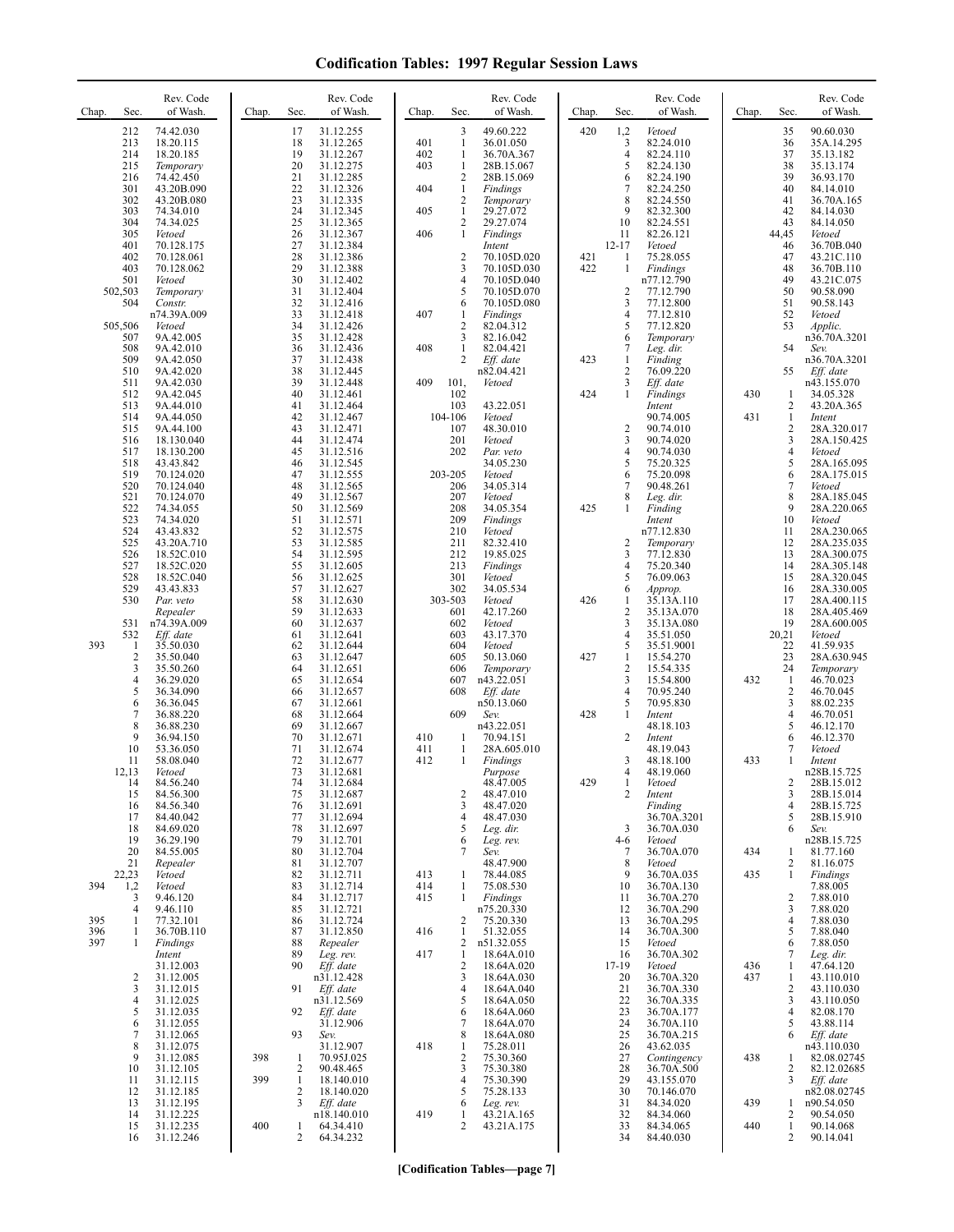| Sec.<br>Chap.                                                                           | Rev. Code<br>of Wash.                                                                                                                                                   | Chap.      | Rev. Code<br>of Wash.<br>Sec.                                                                                                                                                                                                                       | Chap.                                  | Sec.                                                                                                                                                                | Rev. Code<br>of Wash.                                                                                                                                                   | Chap.             | Sec.                                                                                    | Rev. Code<br>of Wash.                                                                                                                                          | Chap.      | Sec.                                                                          | Rev. Code<br>of Wash.                                                                                                                                                   |
|-----------------------------------------------------------------------------------------|-------------------------------------------------------------------------------------------------------------------------------------------------------------------------|------------|-----------------------------------------------------------------------------------------------------------------------------------------------------------------------------------------------------------------------------------------------------|----------------------------------------|---------------------------------------------------------------------------------------------------------------------------------------------------------------------|-------------------------------------------------------------------------------------------------------------------------------------------------------------------------|-------------------|-----------------------------------------------------------------------------------------|----------------------------------------------------------------------------------------------------------------------------------------------------------------|------------|-------------------------------------------------------------------------------|-------------------------------------------------------------------------------------------------------------------------------------------------------------------------|
| 212<br>213<br>214<br>215<br>216<br>301<br>302<br>303<br>304<br>305<br>401<br>402<br>403 | 74.42.030<br>18.20.115<br>18.20.185<br>Temporary<br>74.42.450<br>43.20B.090<br>43.20B.080<br>74.34.010<br>74.34.025<br>Vetoed<br>70.128.175<br>70.128.061<br>70.128.062 |            | 17<br>31.12.255<br>18<br>31.12.265<br>19<br>31.12.267<br>20<br>31.12.275<br>21<br>31.12.285<br>22<br>31.12.326<br>23<br>31.12.335<br>24<br>31.12.345<br>25<br>31.12.365<br>26<br>31.12.367<br>27<br>31.12.384<br>28<br>31.12.386<br>29<br>31.12.388 | 401<br>402<br>403<br>404<br>405<br>406 | 3<br>$\mathbf{1}$<br>$\mathbf{1}$<br>$\mathbf{1}$<br>$\overline{2}$<br>$\mathbf{1}$<br>$\overline{2}$<br>1<br>$\overline{c}$<br>$\mathbf{1}$<br>$\overline{2}$<br>3 | 49.60.222<br>36.01.050<br>36.70A.367<br>28B.15.067<br>28B.15.069<br>Findings<br>Temporary<br>29.27.072<br>29.27.074<br>Findings<br>Intent<br>70.105D.020<br>70.105D.030 | 420<br>421<br>422 | 1,2<br>3<br>$\overline{4}$<br>5<br>6<br>7<br>8<br>9<br>10<br>11<br>$12 - 17$<br>-1<br>1 | Vetoed<br>82.24.010<br>82.24.110<br>82.24.130<br>82.24.190<br>82.24.250<br>82.24.550<br>82.32.300<br>82.24.551<br>82.26.121<br>Vetoed<br>75.28.055<br>Findings |            | 35<br>36<br>37<br>38<br>39<br>40<br>41<br>42<br>43<br>44,45<br>46<br>47<br>48 | 90.60.030<br>35A.14.295<br>35.13.182<br>35.13.174<br>36.93.170<br>84.14.010<br>36.70A.165<br>84.14.030<br>84.14.050<br>Vetoed<br>36.70B.040<br>43.21C.110<br>36.70B.110 |
| 501<br>502,503<br>504<br>505,506<br>507<br>508                                          | Vetoed<br>Temporary<br>Constr.<br>n74.39A.009<br>Vetoed<br>9A.42.005<br>9A.42.010                                                                                       |            | 30<br>31.12.402<br>31<br>31.12.404<br>32<br>31.12.416<br>33<br>31.12.418<br>34<br>31.12.426<br>35<br>31.12.428<br>36<br>31.12.436                                                                                                                   | 407<br>408                             | $\overline{4}$<br>5<br>6<br>1<br>$\overline{2}$<br>3<br>1                                                                                                           | 70.105D.040<br>70.105D.070<br>70.105D.080<br>Findings<br>82.04.312<br>82.16.042<br>82.04.421                                                                            |                   | $\overline{2}$<br>3<br>4<br>5<br>6<br>$\overline{7}$                                    | n77.12.790<br>77.12.790<br>77.12.800<br>77.12.810<br>77.12.820<br>Temporary<br>Leg. dir.                                                                       |            | 49<br>50<br>51<br>52<br>53<br>54                                              | 43.21C.075<br>90.58.090<br>90.58.143<br>Vetoed<br>Applic.<br>n36.70A.3201<br>Sev.                                                                                       |
| 509<br>510<br>511<br>512<br>513<br>514<br>515<br>516                                    | 9A.42.050<br>9A.42.020<br>9A.42.030<br>9A.42.045<br>9A.44.010<br>9A.44.050<br>9A.44.100<br>18.130.040                                                                   |            | 37<br>31.12.438<br>38<br>31.12.445<br>39<br>31.12.448<br>40<br>31.12.461<br>41<br>31.12.464<br>42<br>31.12.467<br>43<br>31.12.471<br>44<br>31.12.474                                                                                                | 409                                    | 2<br>101,<br>102<br>103<br>104-106<br>107<br>201                                                                                                                    | Eff. date<br>n82.04.421<br>Vetoed<br>43.22.051<br>Vetoed<br>48.30.010<br>Vetoed                                                                                         | 423<br>424        | $\mathbf{1}$<br>$\overline{2}$<br>3<br>1<br>$\overline{c}$<br>$\mathfrak{Z}$            | Finding<br>76.09.220<br>Eff. date<br>Findings<br>Intent<br>90.74.005<br>90.74.010<br>90.74.020                                                                 | 430<br>431 | 55<br>1<br>2<br>1<br>2<br>3                                                   | n36.70A.3201<br>Eff. date<br>n43.155.070<br>34.05.328<br>43.20A.365<br>Intent<br>28A.320.017<br>28A.150.425                                                             |
| 517<br>518<br>519<br>520<br>521<br>522<br>523                                           | 18.130.200<br>43.43.842<br>70.124.020<br>70.124.040<br>70.124.070<br>74.34.055<br>74.34.020                                                                             |            | 45<br>31.12.516<br>46<br>31.12.545<br>47<br>31.12.555<br>48<br>31.12.565<br>49<br>31.12.567<br>50<br>31.12.569<br>51<br>31.12.571                                                                                                                   |                                        | 202<br>203-205<br>206<br>207<br>208<br>209                                                                                                                          | Par. veto<br>34.05.230<br>Vetoed<br>34.05.314<br>Vetoed<br>34.05.354<br>Findings                                                                                        | 425               | $\overline{4}$<br>5<br>6<br>$\overline{7}$<br>8<br>1                                    | 90.74.030<br>75.20.325<br>75.20.098<br>90.48.261<br>Leg. dir.<br>Finding<br>Intent                                                                             |            | 4<br>5<br>6<br>7<br>8<br>9<br>10                                              | Vetoed<br>28A.165.095<br>28A.175.015<br>Vetoed<br>28A.185.045<br>28A.220.065<br>Vetoed                                                                                  |
| 524<br>525<br>526<br>527<br>528<br>529<br>530                                           | 43.43.832<br>43.20A.710<br>18.52C.010<br>18.52C.020<br>18.52C.040<br>43.43.833<br>Par. veto                                                                             |            | 52<br>31.12.575<br>53<br>31.12.585<br>54<br>31.12.595<br>55<br>31.12.605<br>56<br>31.12.625<br>57<br>31.12.627<br>58<br>31.12.630                                                                                                                   |                                        | 210<br>211<br>212<br>213<br>301<br>302<br>303-503                                                                                                                   | Vetoed<br>82.32.410<br>19.85.025<br>Findings<br>Vetoed<br>34.05.534<br>Vetoed                                                                                           | 426               | 2<br>3<br>$\overline{4}$<br>5<br>6<br>-1                                                | n77.12.830<br>Temporary<br>77.12.830<br>75.20.340<br>76.09.063<br>Approp.<br>35.13A.110                                                                        |            | 11<br>12<br>13<br>14<br>15<br>16<br>17                                        | 28A.230.065<br>28A.235.035<br>28A.300.075<br>28A.305.148<br>28A.320.045<br>28A.330.005<br>28A.400.115                                                                   |
| 531<br>532<br>393<br>1<br>$\sqrt{2}$<br>3<br>$\overline{4}$                             | Repealer<br>n74.39A.009<br>Eff. date<br>35.50.030<br>35.50.040<br>35.50.260<br>36.29.020                                                                                |            | 59<br>31.12.633<br>60<br>31.12.637<br>31.12.641<br>61<br>62<br>31.12.644<br>63<br>31.12.647<br>64<br>31.12.651<br>65<br>31.12.654                                                                                                                   |                                        | 601<br>602<br>603<br>604<br>605<br>606<br>607                                                                                                                       | 42.17.260<br>Vetoed<br>43.17.370<br>Vetoed<br>50.13.060<br>Temporary<br>n43.22.051                                                                                      | 427               | $\overline{2}$<br>3<br>$\overline{4}$<br>5<br>$\mathbf{1}$<br>$\overline{2}$<br>3       | 35.13A.070<br>35.13A.080<br>35.51.050<br>35.51.9001<br>15.54.270<br>15.54.335<br>15.54.800                                                                     | 432        | 18<br>19<br>20,21<br>22<br>23<br>24<br>$\mathbf{1}$                           | 28A.405.469<br>28A.600.005<br>Vetoed<br>41.59.935<br>28A.630.945<br>Temporary<br>46.70.023                                                                              |
| 5<br>6<br>7<br>8<br>9<br>10<br>11                                                       | 36.34.090<br>36.36.045<br>36.88.220<br>36.88.230<br>36.94.150<br>53.36.050<br>58.08.040                                                                                 |            | 66<br>31.12.657<br>67<br>31.12.661<br>68<br>31.12.664<br>69<br>31.12.667<br>70<br>31.12.671<br>71<br>31.12.674<br>72<br>31.12.677                                                                                                                   | 410<br>411<br>412                      | 608<br>609<br>-1<br>1<br>1                                                                                                                                          | Eff. date<br>n50.13.060<br>Sev.<br>n43.22.051<br>70.94.151<br>28A.605.010<br>Findings                                                                                   | 428               | $\overline{4}$<br>5<br>$\mathbf{1}$<br>$\overline{2}$<br>3                              | 70.95.240<br>70.95.830<br>Intent<br>48.18.103<br>Intent<br>48.19.043<br>48.18.100                                                                              | 433        | $\sqrt{2}$<br>3<br>4<br>5<br>6<br>7<br>1                                      | 46.70.045<br>88.02.235<br>46.70.051<br>46.12.170<br>46.12.370<br>Vetoed<br>Intent                                                                                       |
| 12,13<br>14<br>15<br>16<br>17<br>18<br>19                                               | Vetoed<br>84.56.240<br>84.56.300<br>84.56.340<br>84.40.042<br>84.69.020<br>36.29.190                                                                                    |            | 73<br>31.12.681<br>74<br>31.12.684<br>75<br>31.12.687<br>31.12.691<br>76<br>77<br>31.12.694<br>78<br>31.12.697<br>79<br>31.12.701                                                                                                                   |                                        | 2<br>3<br>$\overline{4}$<br>5<br>6                                                                                                                                  | Purpose<br>48.47.005<br>48.47.010<br>48.47.020<br>48.47.030<br>Leg. dir.                                                                                                | 429               | $\overline{4}$<br>$\overline{c}$<br>3<br>4-6                                            | 48.19.060<br>Vetoed<br>Intent<br>Finding<br>36.70A.3201<br>36.70A.030<br>Vetoed                                                                                |            | 2<br>3<br>4<br>5<br>6                                                         | n28B.15.725<br>28B.15.012<br>28B.15.014<br>28B.15.725<br>28B.15.910<br>Sev.<br>n28B.15.725                                                                              |
| 20<br>21                                                                                | 84.55.005<br>Repealer                                                                                                                                                   |            | 80<br>31.12.704<br>81<br>31.12.707                                                                                                                                                                                                                  |                                        | 7                                                                                                                                                                   | Leg. rev.<br>Sev.<br>48.47.900                                                                                                                                          |                   | 7<br>8                                                                                  | 36.70A.070<br>Vetoed                                                                                                                                           | 434        | 1<br>2                                                                        | 81.77.160<br>81.16.075                                                                                                                                                  |
| 22,23<br>394<br>1,2<br>3<br>4<br>395<br>1<br>396<br>1<br>397<br>1                       | Vetoed<br>Vetoed<br>9.46.120<br>9.46.110<br>77.32.101<br>36.70B.110                                                                                                     |            | 82<br>31.12.711<br>83<br>31.12.714<br>84<br>31.12.717<br>85<br>31.12.721<br>86<br>31.12.724<br>87<br>31.12.850<br>88<br>Repealer                                                                                                                    | 413<br>414<br>415<br>416               | 1<br>1<br>$\mathbf{1}$<br>2<br>1<br>2                                                                                                                               | 78.44.085<br>75.08.530<br>Findings<br>n75.20.330<br>75.20.330<br>51.32.055<br>n51.32.055                                                                                |                   | 9<br>10<br>11<br>12<br>13<br>14<br>15                                                   | 36.70A.035<br>36.70A.130<br>36.70A.270<br>36.70A.290<br>36.70A.295<br>36.70A.300<br>Vetoed                                                                     | 435        | $\mathbf{1}$<br>2<br>3<br>4<br>5<br>6                                         | Findings<br>7.88.005<br>7.88.010<br>7.88.020<br>7.88.030<br>7.88.040<br>7.88.050                                                                                        |
| 2<br>3<br>$\overline{4}$<br>5<br>6                                                      | Findings<br>Intent<br>31.12.003<br>31.12.005<br>31.12.015<br>31.12.025<br>31.12.035<br>31.12.055                                                                        |            | 89<br>Leg. rev.<br>90<br>Eff. date<br>n31.12.428<br>91<br>Eff. date<br>n31.12.569<br>92<br>Eff. date<br>31.12.906                                                                                                                                   | 417                                    | $\mathbf{1}$<br>$\overline{2}$<br>3<br>4<br>5<br>6<br>7                                                                                                             | 18.64A.010<br>18.64A.020<br>18.64A.030<br>18.64A.040<br>18.64A.050<br>18.64A.060<br>18.64A.070                                                                          |                   | 16<br>17-19<br>20<br>21<br>22<br>23<br>24                                               | 36.70A.302<br>Vetoed<br>36.70A.320<br>36.70A.330<br>36.70A.335<br>36.70A.177<br>36.70A.110                                                                     | 436<br>437 | 7<br>1<br>1<br>2<br>3<br>$\overline{4}$<br>5                                  | Leg. dir.<br>47.64.120<br>43.110.010<br>43.110.030<br>43.110.050<br>82.08.170<br>43.88.114                                                                              |
| 7<br>8<br>9<br>10<br>11<br>12                                                           | 31.12.065<br>31.12.075<br>31.12.085<br>31.12.105<br>31.12.115<br>31.12.185                                                                                              | 398<br>399 | 93<br>Sev.<br>31.12.907<br>70.95J.025<br>1<br>$\overline{2}$<br>90.48.465<br>$\mathbf{1}$<br>18.140.010<br>$\overline{2}$<br>18.140.020                                                                                                             | 418                                    | 8<br>1<br>$\overline{2}$<br>3<br>4<br>5                                                                                                                             | 18.64A.080<br>75.28.011<br>75.30.360<br>75.30.380<br>75.30.390<br>75.28.133                                                                                             |                   | 25<br>26<br>27<br>28<br>29<br>30                                                        | 36.70A.215<br>43.62.035<br>Contingency<br>36.70A.500<br>43.155.070<br>70.146.070                                                                               | 438        | 6<br>1<br>2<br>3                                                              | Eff. date<br>n43.110.030<br>82.08.02745<br>82.12.02685<br>Eff. date<br>n82.08.02745                                                                                     |
| 13<br>14<br>15<br>16                                                                    | 31.12.195<br>31.12.225<br>31.12.235<br>31.12.246                                                                                                                        | 400        | 3<br>Eff. date<br>n18.140.010<br>64.34.410<br>1<br>2<br>64.34.232                                                                                                                                                                                   | 419                                    | 6<br>1<br>2                                                                                                                                                         | Leg. rev.<br>43.21A.165<br>43.21A.175                                                                                                                                   |                   | 31<br>32<br>33<br>34                                                                    | 84.34.020<br>84.34.060<br>84.34.065<br>84.40.030                                                                                                               | 439<br>440 | 1<br>2<br>1<br>2                                                              | n90.54.050<br>90.54.050<br>90.14.068<br>90.14.041                                                                                                                       |

**[Codification Tables—page 7]**